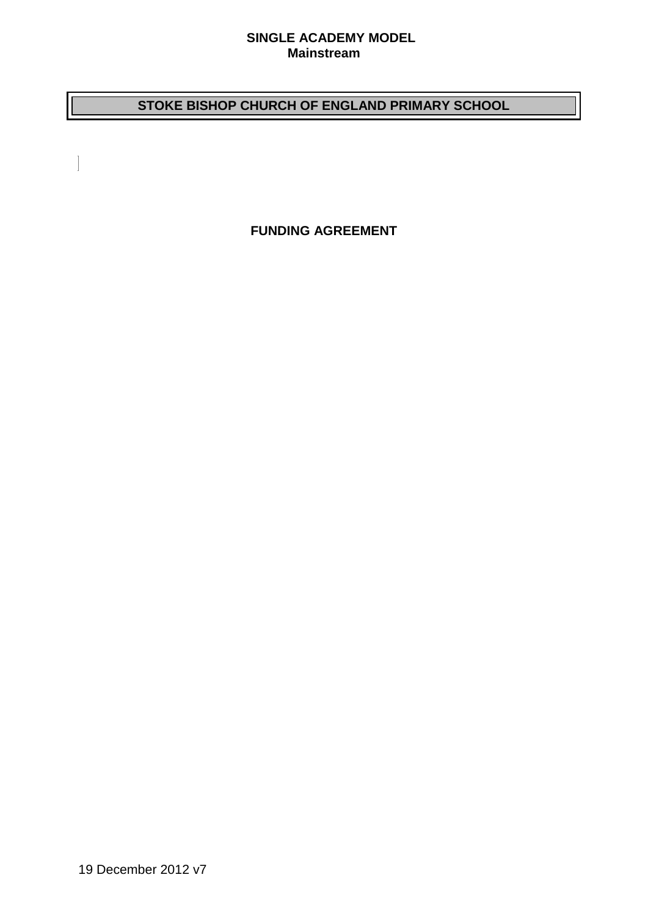#### **SINGLE ACADEMY MODEL Mainstream**

# **STOKE BISHOP CHURCH OF ENGLAND PRIMARY SCHOOL**

**FUNDING AGREEMENT**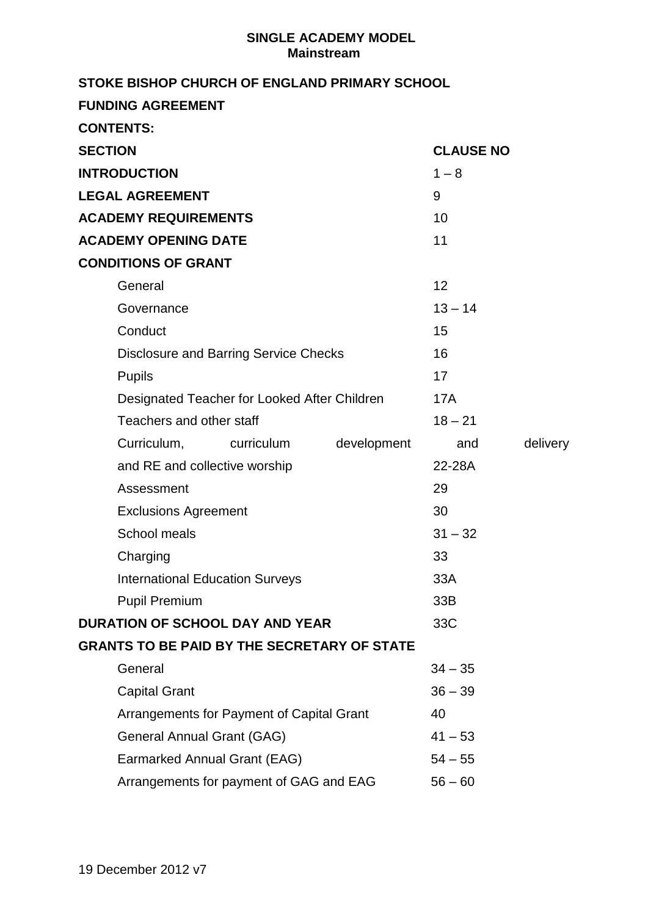# **SINGLE ACADEMY MODEL Mainstream**

| STOKE BISHOP CHURCH OF ENGLAND PRIMARY SCHOOL      |             |                  |          |
|----------------------------------------------------|-------------|------------------|----------|
| <b>FUNDING AGREEMENT</b>                           |             |                  |          |
| <b>CONTENTS:</b>                                   |             |                  |          |
| <b>SECTION</b>                                     |             | <b>CLAUSE NO</b> |          |
| <b>INTRODUCTION</b>                                | $1 - 8$     |                  |          |
| <b>LEGAL AGREEMENT</b>                             | 9           |                  |          |
| <b>ACADEMY REQUIREMENTS</b>                        |             | 10               |          |
| <b>ACADEMY OPENING DATE</b>                        | 11          |                  |          |
| <b>CONDITIONS OF GRANT</b>                         |             |                  |          |
| General                                            |             | 12               |          |
| Governance                                         |             | $13 - 14$        |          |
| Conduct                                            | 15          |                  |          |
| <b>Disclosure and Barring Service Checks</b>       | 16          |                  |          |
| <b>Pupils</b>                                      | 17          |                  |          |
| Designated Teacher for Looked After Children       | 17A         |                  |          |
| Teachers and other staff                           |             | $18 - 21$        |          |
| Curriculum,<br>curriculum                          | development | and              | delivery |
| and RE and collective worship                      |             | 22-28A           |          |
| Assessment                                         |             | 29               |          |
| <b>Exclusions Agreement</b>                        |             | 30               |          |
| School meals                                       |             | $31 - 32$        |          |
| Charging                                           |             | 33               |          |
| <b>International Education Surveys</b>             | 33A         |                  |          |
| <b>Pupil Premium</b>                               |             | 33B              |          |
| <b>DURATION OF SCHOOL DAY AND YEAR</b>             |             | 33C              |          |
| <b>GRANTS TO BE PAID BY THE SECRETARY OF STATE</b> |             |                  |          |
| General                                            |             | $34 - 35$        |          |
| <b>Capital Grant</b>                               |             | $36 - 39$        |          |
| Arrangements for Payment of Capital Grant          |             | 40               |          |
| General Annual Grant (GAG)                         |             | $41 - 53$        |          |
| Earmarked Annual Grant (EAG)                       |             | $54 - 55$        |          |
| Arrangements for payment of GAG and EAG            |             | $56 - 60$        |          |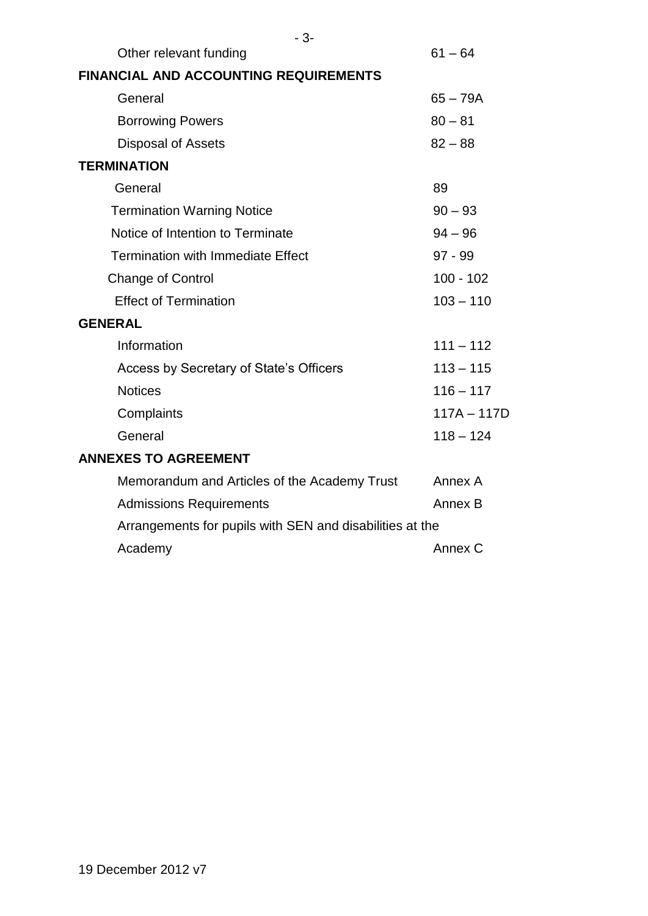| $-3-$                                                    |               |  |  |
|----------------------------------------------------------|---------------|--|--|
| Other relevant funding                                   | $61 - 64$     |  |  |
| <b>FINANCIAL AND ACCOUNTING REQUIREMENTS</b>             |               |  |  |
| General                                                  | $65 - 79A$    |  |  |
| <b>Borrowing Powers</b>                                  | $80 - 81$     |  |  |
| <b>Disposal of Assets</b>                                | $82 - 88$     |  |  |
| <b>TERMINATION</b>                                       |               |  |  |
| General                                                  | 89            |  |  |
| <b>Termination Warning Notice</b>                        | $90 - 93$     |  |  |
| Notice of Intention to Terminate                         | $94 - 96$     |  |  |
| <b>Termination with Immediate Effect</b>                 | 97 - 99       |  |  |
| <b>Change of Control</b>                                 | $100 - 102$   |  |  |
| <b>Effect of Termination</b>                             | $103 - 110$   |  |  |
| <b>GENERAL</b>                                           |               |  |  |
| Information                                              | $111 - 112$   |  |  |
| Access by Secretary of State's Officers                  | $113 - 115$   |  |  |
| <b>Notices</b>                                           | $116 - 117$   |  |  |
| Complaints                                               | $117A - 117D$ |  |  |
| General                                                  | $118 - 124$   |  |  |
| <b>ANNEXES TO AGREEMENT</b>                              |               |  |  |
| Memorandum and Articles of the Academy Trust             | Annex A       |  |  |
| <b>Admissions Requirements</b>                           | Annex B       |  |  |
| Arrangements for pupils with SEN and disabilities at the |               |  |  |
| Academy                                                  | Annex C       |  |  |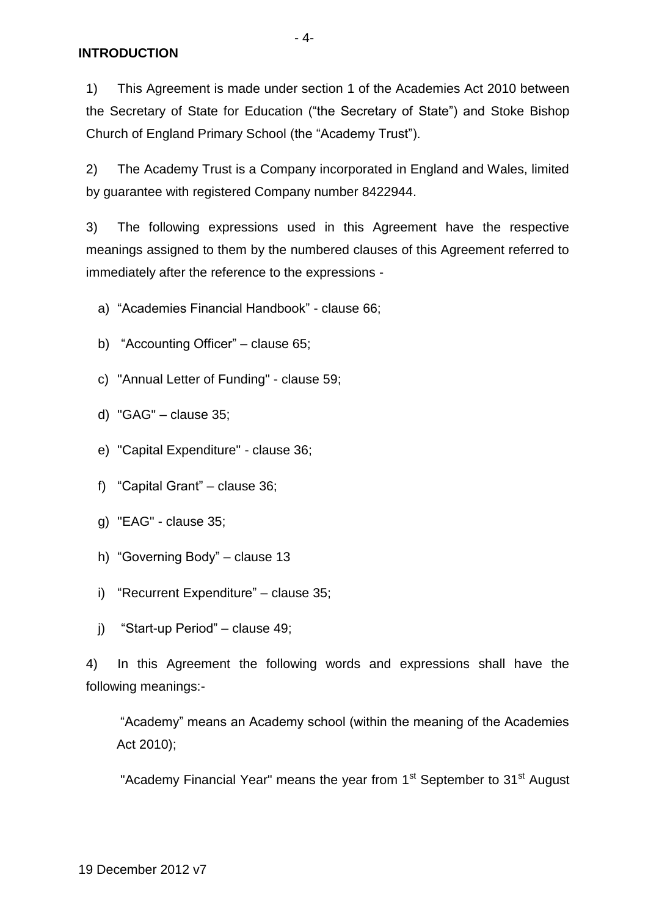1) This Agreement is made under section 1 of the Academies Act 2010 between the Secretary of State for Education ("the Secretary of State") and Stoke Bishop Church of England Primary School (the "Academy Trust").

2) The Academy Trust is a Company incorporated in England and Wales, limited by guarantee with registered Company number 8422944.

3) The following expressions used in this Agreement have the respective meanings assigned to them by the numbered clauses of this Agreement referred to immediately after the reference to the expressions -

a) "Academies Financial Handbook" - clause 66;

- b) "Accounting Officer" clause 65;
- c) "Annual Letter of Funding" clause 59;
- d) "GAG" clause 35;
- e) "Capital Expenditure" clause 36;
- f) "Capital Grant" clause 36;
- g) "EAG" clause 35;
- h) "Governing Body" clause 13
- i) "Recurrent Expenditure" clause 35;
- j) "Start-up Period" clause 49;

4) In this Agreement the following words and expressions shall have the following meanings:-

"Academy" means an Academy school (within the meaning of the Academies Act 2010);

"Academy Financial Year" means the year from 1<sup>st</sup> September to 31<sup>st</sup> August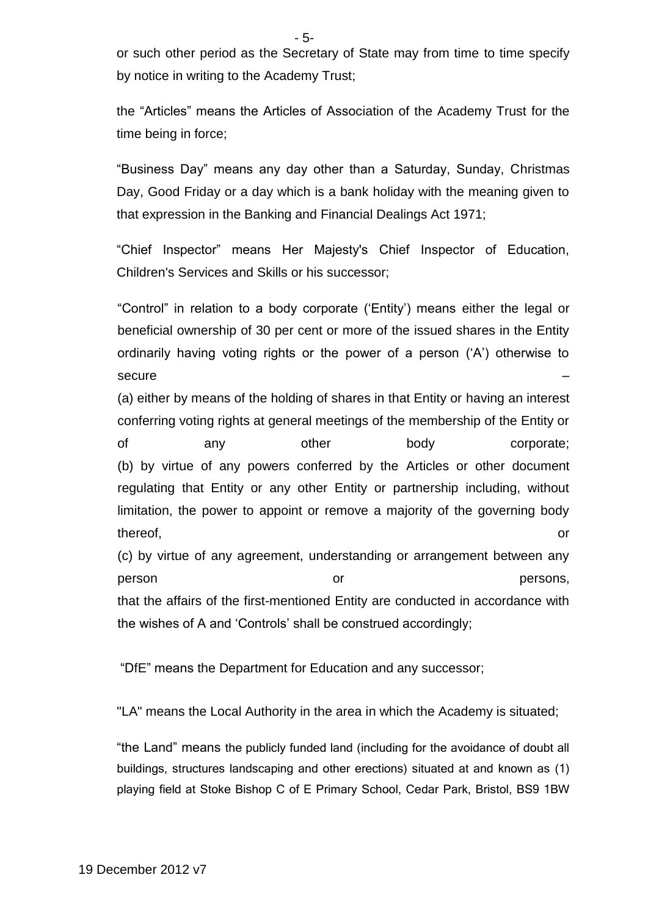or such other period as the Secretary of State may from time to time specify by notice in writing to the Academy Trust;

the "Articles" means the Articles of Association of the Academy Trust for the time being in force;

"Business Day" means any day other than a Saturday, Sunday, Christmas Day, Good Friday or a day which is a bank holiday with the meaning given to that expression in the Banking and Financial Dealings Act 1971;

"Chief Inspector" means Her Majesty's Chief Inspector of Education, Children's Services and Skills or his successor;

"Control" in relation to a body corporate ('Entity') means either the legal or beneficial ownership of 30 per cent or more of the issued shares in the Entity ordinarily having voting rights or the power of a person ('A') otherwise to secure – <u>– et al.</u> 2007 et al. 2008 et al. 2008 et al. 2008 et al. 2008 et al. 2008 et al. 2008 et al. 2008 et al. 2008 et al. 2008 et al. 2008 et al. 2008 et al. 2008 et al. 2008 et al. 2008 et al. 2008 et al. 2008 et al

(a) either by means of the holding of shares in that Entity or having an interest conferring voting rights at general meetings of the membership of the Entity or of any other body corporate; (b) by virtue of any powers conferred by the Articles or other document regulating that Entity or any other Entity or partnership including, without limitation, the power to appoint or remove a majority of the governing body thereof, the contract of the contract of the contract of the contract of the contract of the contract of the contract of the contract of the contract of the contract of the contract of the contract of the contract of the c

(c) by virtue of any agreement, understanding or arrangement between any person **persons**, **persons**, **persons**, that the affairs of the first-mentioned Entity are conducted in accordance with the wishes of A and 'Controls' shall be construed accordingly;

"DfE" means the Department for Education and any successor;

"LA" means the Local Authority in the area in which the Academy is situated;

"the Land" means the publicly funded land (including for the avoidance of doubt all buildings, structures landscaping and other erections) situated at and known as (1) playing field at Stoke Bishop C of E Primary School, Cedar Park, Bristol, BS9 1BW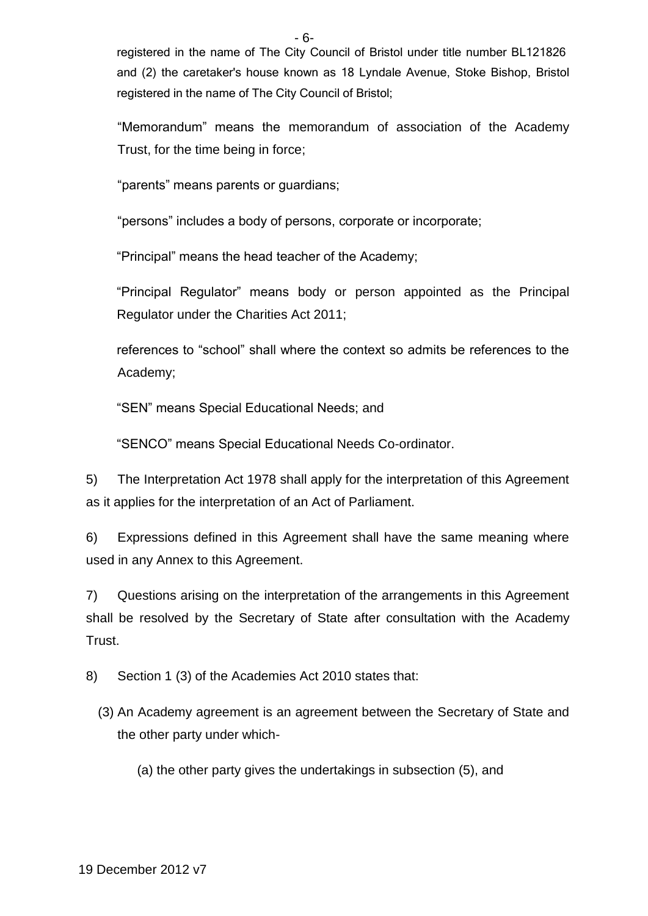registered in the name of The City Council of Bristol under title number BL121826 and (2) the caretaker's house known as 18 Lyndale Avenue, Stoke Bishop, Bristol registered in the name of The City Council of Bristol;

"Memorandum" means the memorandum of association of the Academy Trust, for the time being in force;

"parents" means parents or guardians;

"persons" includes a body of persons, corporate or incorporate;

"Principal" means the head teacher of the Academy;

"Principal Regulator" means body or person appointed as the Principal Regulator under the Charities Act 2011;

references to "school" shall where the context so admits be references to the Academy;

"SEN" means Special Educational Needs; and

"SENCO" means Special Educational Needs Co-ordinator.

5) The Interpretation Act 1978 shall apply for the interpretation of this Agreement as it applies for the interpretation of an Act of Parliament.

6) Expressions defined in this Agreement shall have the same meaning where used in any Annex to this Agreement.

7) Questions arising on the interpretation of the arrangements in this Agreement shall be resolved by the Secretary of State after consultation with the Academy Trust.

8) Section 1 (3) of the Academies Act 2010 states that:

(3) An Academy agreement is an agreement between the Secretary of State and the other party under which-

(a) the other party gives the undertakings in subsection (5), and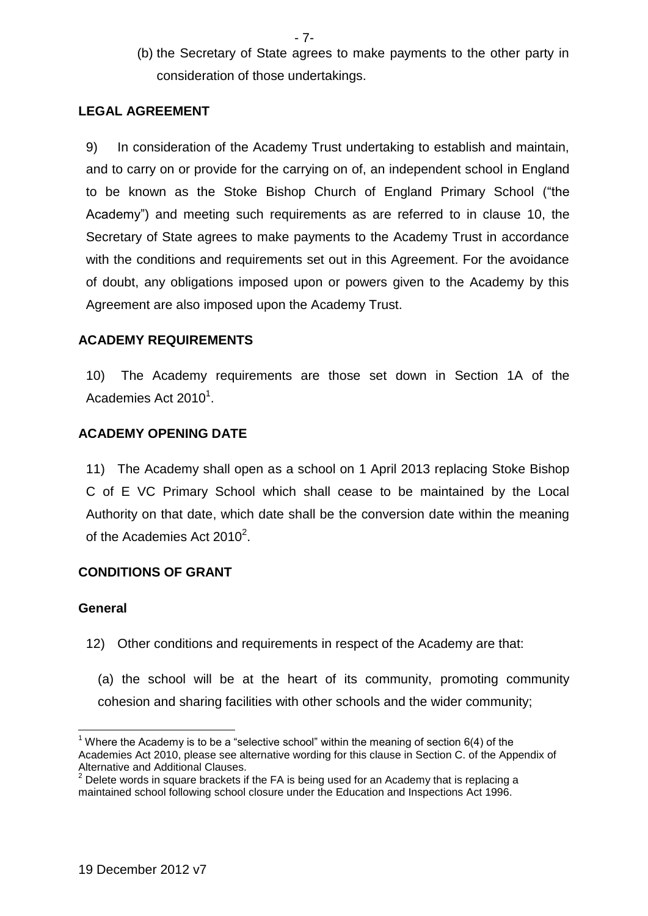- 7-
- (b) the Secretary of State agrees to make payments to the other party in consideration of those undertakings.

## **LEGAL AGREEMENT**

9) In consideration of the Academy Trust undertaking to establish and maintain, and to carry on or provide for the carrying on of, an independent school in England to be known as the Stoke Bishop Church of England Primary School ("the Academy") and meeting such requirements as are referred to in clause 10, the Secretary of State agrees to make payments to the Academy Trust in accordance with the conditions and requirements set out in this Agreement. For the avoidance of doubt, any obligations imposed upon or powers given to the Academy by this Agreement are also imposed upon the Academy Trust.

## **ACADEMY REQUIREMENTS**

10) The Academy requirements are those set down in Section 1A of the Academies Act 2010<sup>1</sup>.

### **ACADEMY OPENING DATE**

11) The Academy shall open as a school on 1 April 2013 replacing Stoke Bishop C of E VC Primary School which shall cease to be maintained by the Local Authority on that date, which date shall be the conversion date within the meaning of the Academies Act 2010 $^2$ .

# **CONDITIONS OF GRANT**

### **General**

1

- 12) Other conditions and requirements in respect of the Academy are that:
	- (a) the school will be at the heart of its community, promoting community cohesion and sharing facilities with other schools and the wider community;

<sup>&</sup>lt;sup>1</sup> Where the Academy is to be a "selective school" within the meaning of section  $6(4)$  of the Academies Act 2010, please see alternative wording for this clause in Section C. of the Appendix of Alternative and Additional Clauses.

 $2$  Delete words in square brackets if the FA is being used for an Academy that is replacing a maintained school following school closure under the Education and Inspections Act 1996.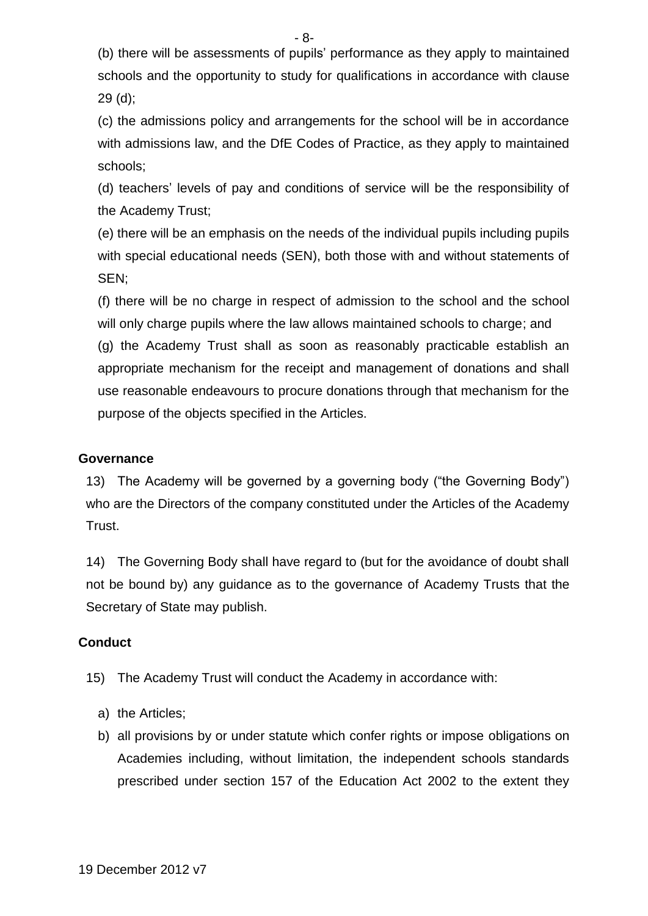(b) there will be assessments of pupils' performance as they apply to maintained schools and the opportunity to study for qualifications in accordance with clause

29 (d);

(c) the admissions policy and arrangements for the school will be in accordance with admissions law, and the DfE Codes of Practice, as they apply to maintained schools;

(d) teachers' levels of pay and conditions of service will be the responsibility of the Academy Trust;

(e) there will be an emphasis on the needs of the individual pupils including pupils with special educational needs (SEN), both those with and without statements of SEN;

(f) there will be no charge in respect of admission to the school and the school will only charge pupils where the law allows maintained schools to charge; and (g) the Academy Trust shall as soon as reasonably practicable establish an appropriate mechanism for the receipt and management of donations and shall use reasonable endeavours to procure donations through that mechanism for the purpose of the objects specified in the Articles.

## **Governance**

13) The Academy will be governed by a governing body ("the Governing Body") who are the Directors of the company constituted under the Articles of the Academy Trust.

14) The Governing Body shall have regard to (but for the avoidance of doubt shall not be bound by) any guidance as to the governance of Academy Trusts that the Secretary of State may publish.

# **Conduct**

- 15) The Academy Trust will conduct the Academy in accordance with:
	- a) the Articles;
	- b) all provisions by or under statute which confer rights or impose obligations on Academies including, without limitation, the independent schools standards prescribed under section 157 of the Education Act 2002 to the extent they

- 8-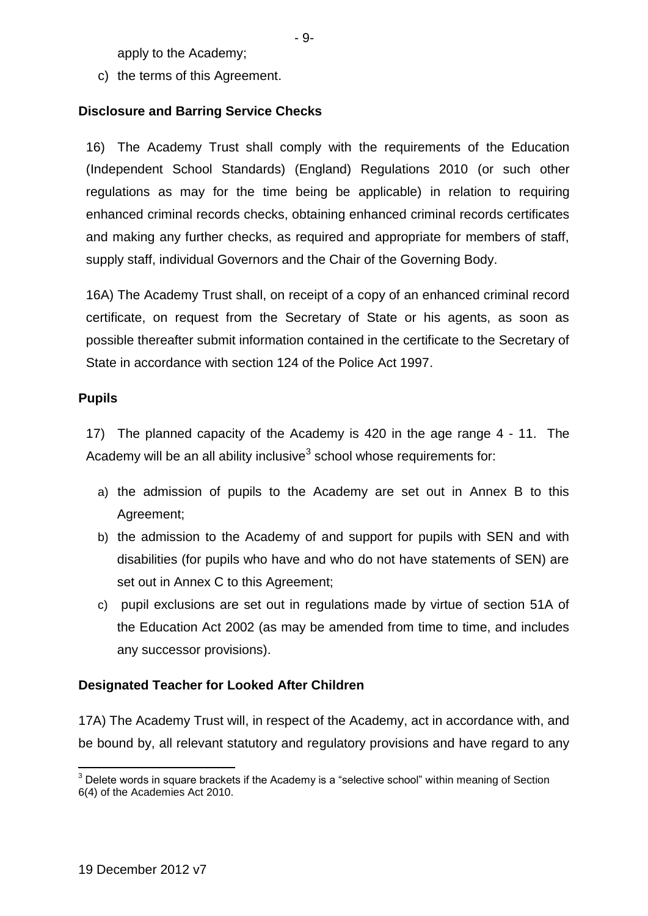apply to the Academy;

c) the terms of this Agreement.

# **Disclosure and Barring Service Checks**

16) The Academy Trust shall comply with the requirements of the Education (Independent School Standards) (England) Regulations 2010 (or such other regulations as may for the time being be applicable) in relation to requiring enhanced criminal records checks, obtaining enhanced criminal records certificates and making any further checks, as required and appropriate for members of staff, supply staff, individual Governors and the Chair of the Governing Body.

16A) The Academy Trust shall, on receipt of a copy of an enhanced criminal record certificate, on request from the Secretary of State or his agents, as soon as possible thereafter submit information contained in the certificate to the Secretary of State in accordance with section 124 of the Police Act 1997.

### **Pupils**

17) The planned capacity of the Academy is 420 in the age range 4 - 11. The Academy will be an all ability inclusive<sup>3</sup> school whose requirements for:

- a) the admission of pupils to the Academy are set out in Annex B to this Agreement;
- b) the admission to the Academy of and support for pupils with SEN and with disabilities (for pupils who have and who do not have statements of SEN) are set out in Annex C to this Agreement;
- c) pupil exclusions are set out in regulations made by virtue of section 51A of the Education Act 2002 (as may be amended from time to time, and includes any successor provisions).

# **Designated Teacher for Looked After Children**

17A) The Academy Trust will, in respect of the Academy, act in accordance with, and be bound by, all relevant statutory and regulatory provisions and have regard to any

<sup>1</sup>  $3$  Delete words in square brackets if the Academy is a "selective school" within meaning of Section 6(4) of the Academies Act 2010.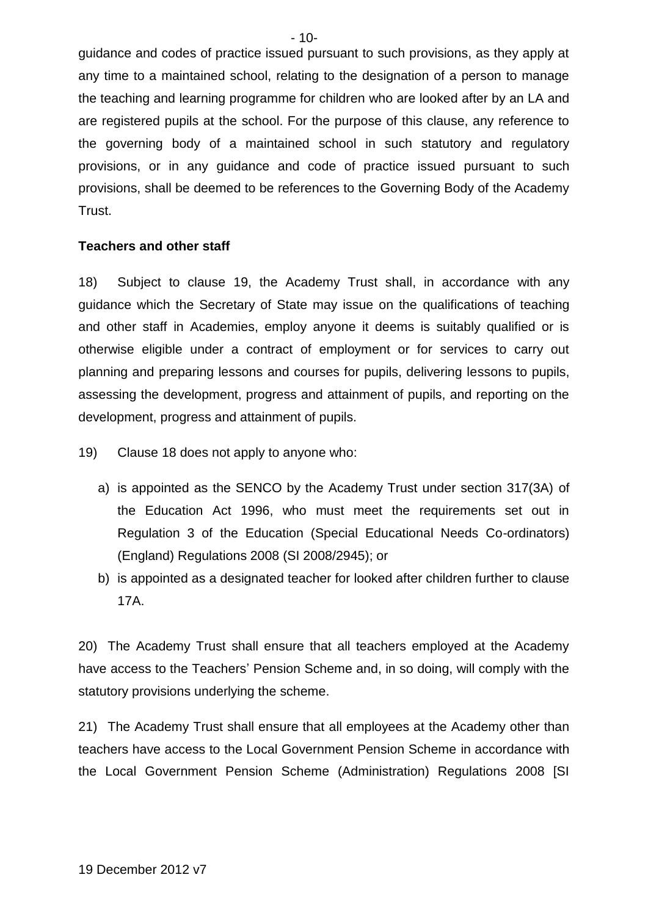guidance and codes of practice issued pursuant to such provisions, as they apply at any time to a maintained school, relating to the designation of a person to manage the teaching and learning programme for children who are looked after by an LA and are registered pupils at the school. For the purpose of this clause, any reference to the governing body of a maintained school in such statutory and regulatory provisions, or in any guidance and code of practice issued pursuant to such provisions, shall be deemed to be references to the Governing Body of the Academy Trust.

#### **Teachers and other staff**

18) Subject to clause 19, the Academy Trust shall, in accordance with any guidance which the Secretary of State may issue on the qualifications of teaching and other staff in Academies, employ anyone it deems is suitably qualified or is otherwise eligible under a contract of employment or for services to carry out planning and preparing lessons and courses for pupils, delivering lessons to pupils, assessing the development, progress and attainment of pupils, and reporting on the development, progress and attainment of pupils.

- 19) Clause 18 does not apply to anyone who:
	- a) is appointed as the SENCO by the Academy Trust under section 317(3A) of the Education Act 1996, who must meet the requirements set out in Regulation 3 of the Education (Special Educational Needs Co-ordinators) (England) Regulations 2008 (SI 2008/2945); or
	- b) is appointed as a designated teacher for looked after children further to clause 17A.

20) The Academy Trust shall ensure that all teachers employed at the Academy have access to the Teachers' Pension Scheme and, in so doing, will comply with the statutory provisions underlying the scheme.

21) The Academy Trust shall ensure that all employees at the Academy other than teachers have access to the Local Government Pension Scheme in accordance with the Local Government Pension Scheme (Administration) Regulations 2008 [SI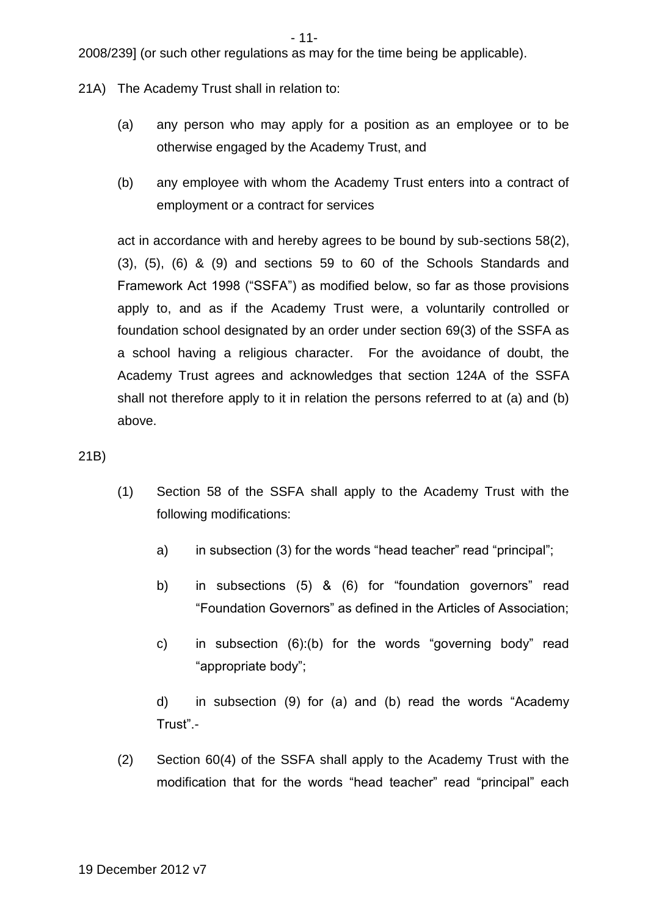- 11-

2008/239] (or such other regulations as may for the time being be applicable).

- 21A) The Academy Trust shall in relation to:
	- (a) any person who may apply for a position as an employee or to be otherwise engaged by the Academy Trust, and
	- (b) any employee with whom the Academy Trust enters into a contract of employment or a contract for services

act in accordance with and hereby agrees to be bound by sub-sections 58(2), (3), (5), (6) & (9) and sections 59 to 60 of the Schools Standards and Framework Act 1998 ("SSFA") as modified below, so far as those provisions apply to, and as if the Academy Trust were, a voluntarily controlled or foundation school designated by an order under section 69(3) of the SSFA as a school having a religious character. For the avoidance of doubt, the Academy Trust agrees and acknowledges that section 124A of the SSFA shall not therefore apply to it in relation the persons referred to at (a) and (b) above.

21B)

- (1) Section 58 of the SSFA shall apply to the Academy Trust with the following modifications:
	- a) in subsection (3) for the words "head teacher" read "principal";
	- b) in subsections (5) & (6) for "foundation governors" read "Foundation Governors" as defined in the Articles of Association;
	- c) in subsection (6):(b) for the words "governing body" read "appropriate body";

d) in subsection (9) for (a) and (b) read the words "Academy Trust".-

(2) Section 60(4) of the SSFA shall apply to the Academy Trust with the modification that for the words "head teacher" read "principal" each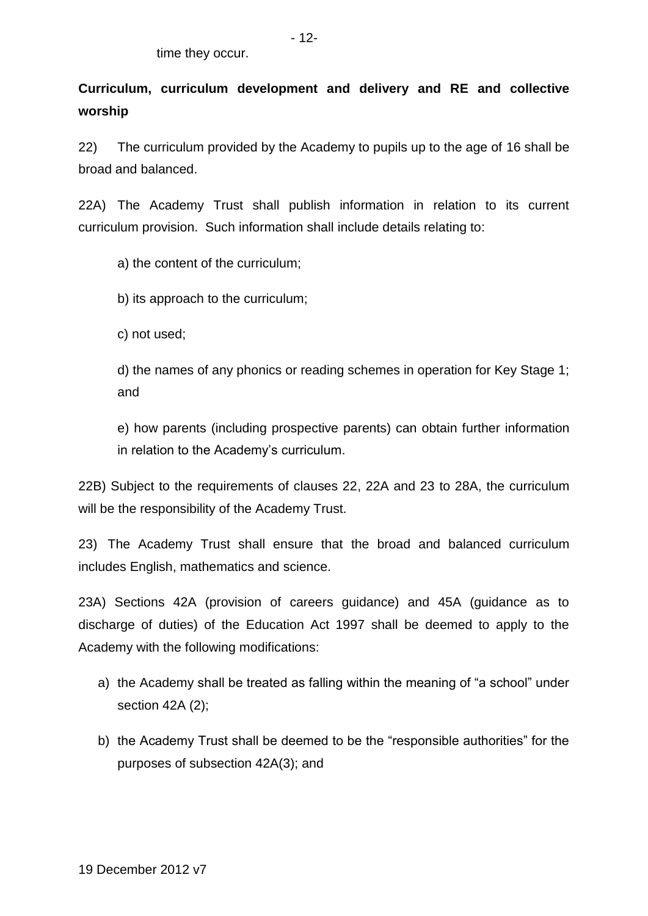**Curriculum, curriculum development and delivery and RE and collective worship**

22) The curriculum provided by the Academy to pupils up to the age of 16 shall be broad and balanced.

22A) The Academy Trust shall publish information in relation to its current curriculum provision. Such information shall include details relating to:

a) the content of the curriculum;

b) its approach to the curriculum;

c) not used;

d) the names of any phonics or reading schemes in operation for Key Stage 1; and

e) how parents (including prospective parents) can obtain further information in relation to the Academy's curriculum.

22B) Subject to the requirements of clauses 22, 22A and 23 to 28A, the curriculum will be the responsibility of the Academy Trust.

23) The Academy Trust shall ensure that the broad and balanced curriculum includes English, mathematics and science.

23A) Sections 42A (provision of careers guidance) and 45A (guidance as to discharge of duties) of the Education Act 1997 shall be deemed to apply to the Academy with the following modifications:

- a) the Academy shall be treated as falling within the meaning of "a school" under section 42A (2);
- b) the Academy Trust shall be deemed to be the "responsible authorities" for the purposes of subsection 42A(3); and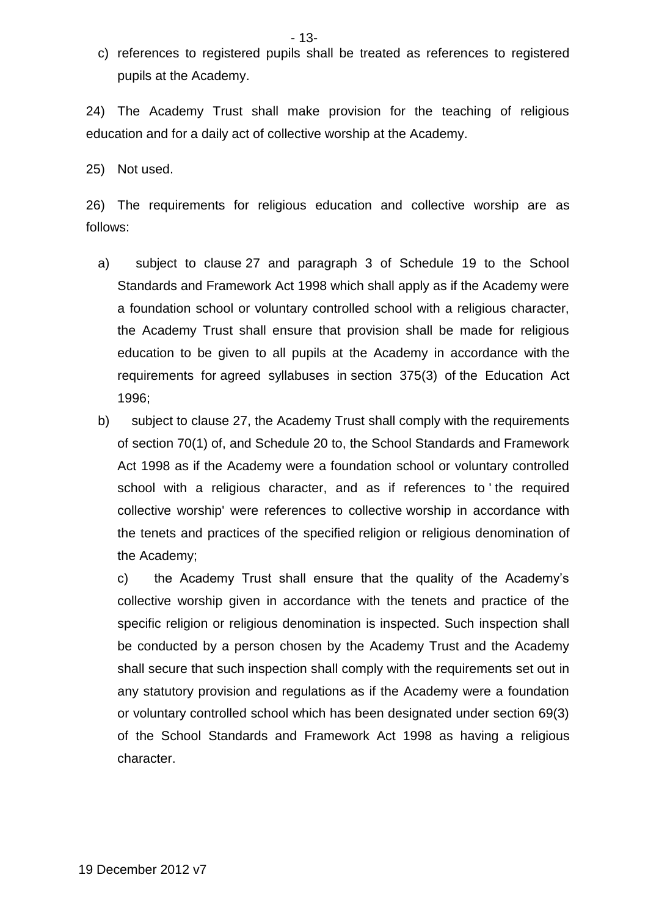- 13-
- c) references to registered pupils shall be treated as references to registered pupils at the Academy.

24) The Academy Trust shall make provision for the teaching of religious education and for a daily act of collective worship at the Academy.

25) Not used.

26) The requirements for religious education and collective worship are as follows:

- a) subject to clause 27 and paragraph 3 of Schedule 19 to the School Standards and Framework Act 1998 which shall apply as if the Academy were a foundation school or voluntary controlled school with a religious character, the Academy Trust shall ensure that provision shall be made for religious education to be given to all pupils at the Academy in accordance with the requirements for agreed syllabuses in section 375(3) of the Education Act 1996;
- b) subject to clause 27, the Academy Trust shall comply with the requirements of section 70(1) of, and Schedule 20 to, the School Standards and Framework Act 1998 as if the Academy were a foundation school or voluntary controlled school with a religious character, and as if references to ' the required collective worship' were references to collective worship in accordance with the tenets and practices of the specified religion or religious denomination of the Academy;

c) the Academy Trust shall ensure that the quality of the Academy's collective worship given in accordance with the tenets and practice of the specific religion or religious denomination is inspected. Such inspection shall be conducted by a person chosen by the Academy Trust and the Academy shall secure that such inspection shall comply with the requirements set out in any statutory provision and regulations as if the Academy were a foundation or voluntary controlled school which has been designated under section 69(3) of the School Standards and Framework Act 1998 as having a religious character.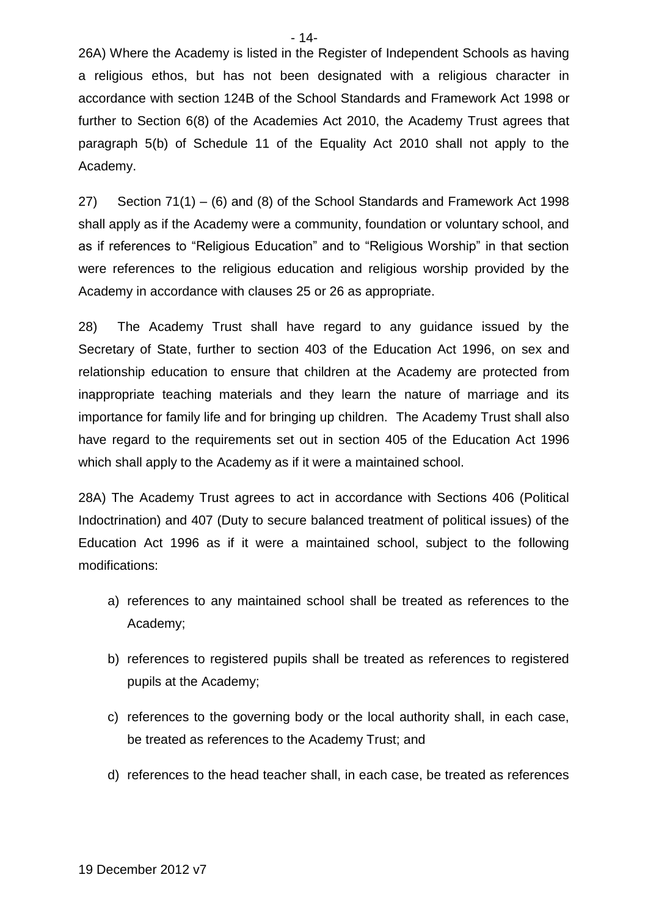26A) Where the Academy is listed in the Register of Independent Schools as having a religious ethos, but has not been designated with a religious character in accordance with section 124B of the School Standards and Framework Act 1998 or further to Section 6(8) of the Academies Act 2010, the Academy Trust agrees that paragraph 5(b) of Schedule 11 of the Equality Act 2010 shall not apply to the Academy.

27) Section 71(1) – (6) and (8) of the School Standards and Framework Act 1998 shall apply as if the Academy were a community, foundation or voluntary school, and as if references to "Religious Education" and to "Religious Worship" in that section were references to the religious education and religious worship provided by the Academy in accordance with clauses 25 or 26 as appropriate.

28) The Academy Trust shall have regard to any guidance issued by the Secretary of State, further to section 403 of the Education Act 1996, on sex and relationship education to ensure that children at the Academy are protected from inappropriate teaching materials and they learn the nature of marriage and its importance for family life and for bringing up children. The Academy Trust shall also have regard to the requirements set out in section 405 of the Education Act 1996 which shall apply to the Academy as if it were a maintained school.

28A) The Academy Trust agrees to act in accordance with Sections 406 (Political Indoctrination) and 407 (Duty to secure balanced treatment of political issues) of the Education Act 1996 as if it were a maintained school, subject to the following modifications:

- a) references to any maintained school shall be treated as references to the Academy;
- b) references to registered pupils shall be treated as references to registered pupils at the Academy;
- c) references to the governing body or the local authority shall, in each case, be treated as references to the Academy Trust; and
- d) references to the head teacher shall, in each case, be treated as references

 $-14-$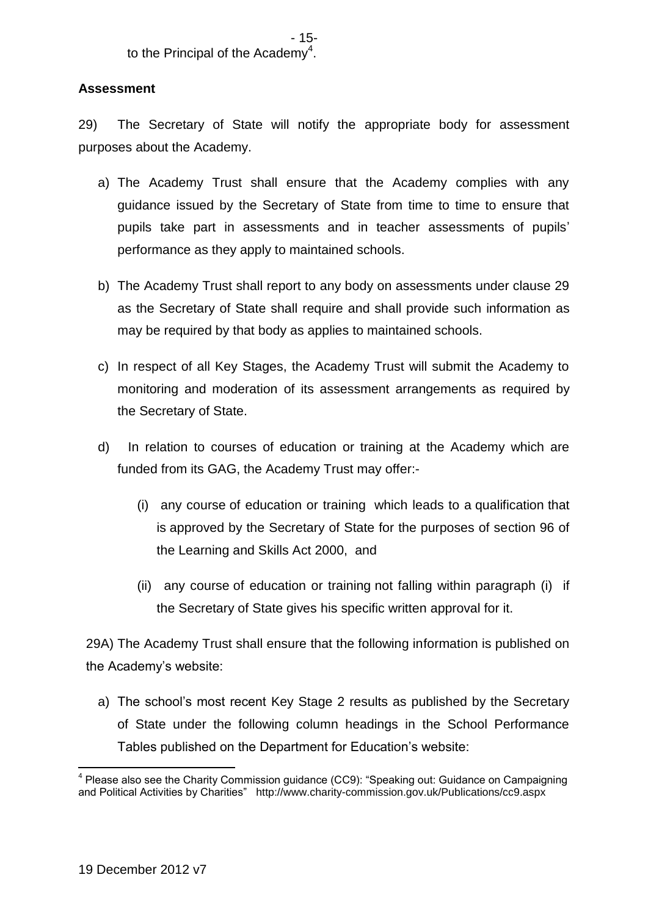## **Assessment**

29) The Secretary of State will notify the appropriate body for assessment purposes about the Academy.

- a) The Academy Trust shall ensure that the Academy complies with any guidance issued by the Secretary of State from time to time to ensure that pupils take part in assessments and in teacher assessments of pupils' performance as they apply to maintained schools.
- b) The Academy Trust shall report to any body on assessments under clause 29 as the Secretary of State shall require and shall provide such information as may be required by that body as applies to maintained schools.
- c) In respect of all Key Stages, the Academy Trust will submit the Academy to monitoring and moderation of its assessment arrangements as required by the Secretary of State.
- d) In relation to courses of education or training at the Academy which are funded from its GAG, the Academy Trust may offer:-
	- (i) any course of education or training which leads to a qualification that is approved by the Secretary of State for the purposes of section 96 of the Learning and Skills Act 2000, and
	- (ii) any course of education or training not falling within paragraph (i) if the Secretary of State gives his specific written approval for it.

29A) The Academy Trust shall ensure that the following information is published on the Academy's website:

a) The school's most recent Key Stage 2 results as published by the Secretary of State under the following column headings in the School Performance Tables published on the Department for Education's website:

<sup>1</sup> <sup>4</sup> Please also see the Charity Commission guidance (CC9): "Speaking out: Guidance on Campaigning and Political Activities by Charities" http://www.charity-commission.gov.uk/Publications/cc9.aspx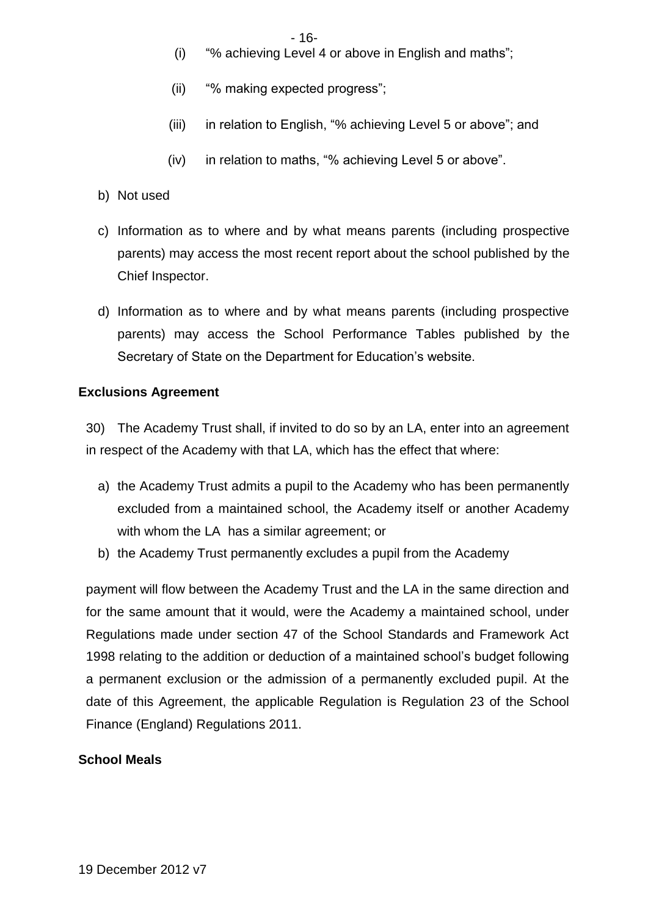- (i) "% achieving Level 4 or above in English and maths";
- (ii) "% making expected progress";
- (iii) in relation to English, "% achieving Level 5 or above"; and
- (iv) in relation to maths, "% achieving Level 5 or above".
- b) Not used
- c) Information as to where and by what means parents (including prospective parents) may access the most recent report about the school published by the Chief Inspector.
- d) Information as to where and by what means parents (including prospective parents) may access the School Performance Tables published by the Secretary of State on the Department for Education's website.

## **Exclusions Agreement**

30) The Academy Trust shall, if invited to do so by an LA, enter into an agreement in respect of the Academy with that LA, which has the effect that where:

- a) the Academy Trust admits a pupil to the Academy who has been permanently excluded from a maintained school, the Academy itself or another Academy with whom the LA has a similar agreement; or
- b) the Academy Trust permanently excludes a pupil from the Academy

payment will flow between the Academy Trust and the LA in the same direction and for the same amount that it would, were the Academy a maintained school, under Regulations made under section 47 of the School Standards and Framework Act 1998 relating to the addition or deduction of a maintained school's budget following a permanent exclusion or the admission of a permanently excluded pupil. At the date of this Agreement, the applicable Regulation is Regulation 23 of the School Finance (England) Regulations 2011.

# **School Meals**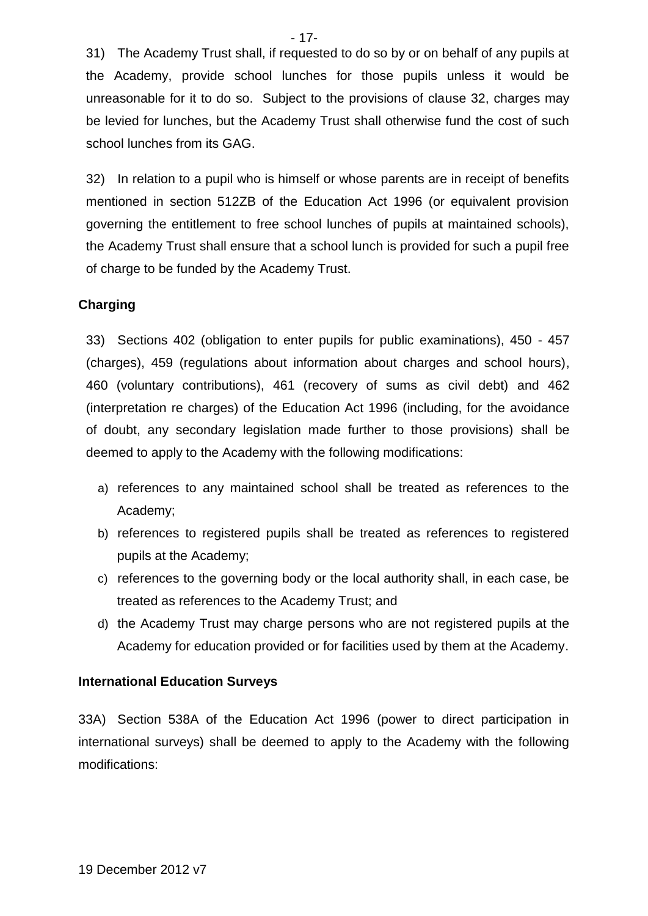31) The Academy Trust shall, if requested to do so by or on behalf of any pupils at the Academy, provide school lunches for those pupils unless it would be unreasonable for it to do so. Subject to the provisions of clause 32, charges may be levied for lunches, but the Academy Trust shall otherwise fund the cost of such school lunches from its GAG.

32) In relation to a pupil who is himself or whose parents are in receipt of benefits mentioned in section 512ZB of the Education Act 1996 (or equivalent provision governing the entitlement to free school lunches of pupils at maintained schools), the Academy Trust shall ensure that a school lunch is provided for such a pupil free of charge to be funded by the Academy Trust.

## **Charging**

33) Sections 402 (obligation to enter pupils for public examinations), 450 - 457 (charges), 459 (regulations about information about charges and school hours), 460 (voluntary contributions), 461 (recovery of sums as civil debt) and 462 (interpretation re charges) of the Education Act 1996 (including, for the avoidance of doubt, any secondary legislation made further to those provisions) shall be deemed to apply to the Academy with the following modifications:

- a) references to any maintained school shall be treated as references to the Academy;
- b) references to registered pupils shall be treated as references to registered pupils at the Academy;
- c) references to the governing body or the local authority shall, in each case, be treated as references to the Academy Trust; and
- d) the Academy Trust may charge persons who are not registered pupils at the Academy for education provided or for facilities used by them at the Academy.

### **International Education Surveys**

33A) Section 538A of the Education Act 1996 (power to direct participation in international surveys) shall be deemed to apply to the Academy with the following modifications:

- 17-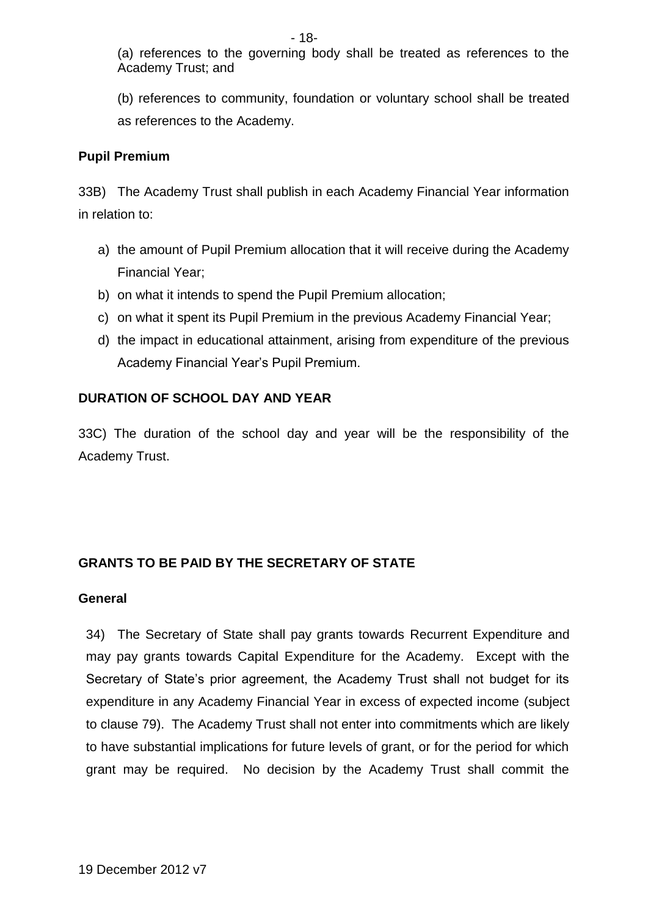(a) references to the governing body shall be treated as references to the Academy Trust; and

(b) references to community, foundation or voluntary school shall be treated as references to the Academy.

## **Pupil Premium**

33B) The Academy Trust shall publish in each Academy Financial Year information in relation to:

- a) the amount of Pupil Premium allocation that it will receive during the Academy Financial Year;
- b) on what it intends to spend the Pupil Premium allocation;
- c) on what it spent its Pupil Premium in the previous Academy Financial Year;
- d) the impact in educational attainment, arising from expenditure of the previous Academy Financial Year's Pupil Premium.

# **DURATION OF SCHOOL DAY AND YEAR**

33C) The duration of the school day and year will be the responsibility of the Academy Trust.

# **GRANTS TO BE PAID BY THE SECRETARY OF STATE**

### **General**

34) The Secretary of State shall pay grants towards Recurrent Expenditure and may pay grants towards Capital Expenditure for the Academy. Except with the Secretary of State's prior agreement, the Academy Trust shall not budget for its expenditure in any Academy Financial Year in excess of expected income (subject to clause 79). The Academy Trust shall not enter into commitments which are likely to have substantial implications for future levels of grant, or for the period for which grant may be required. No decision by the Academy Trust shall commit the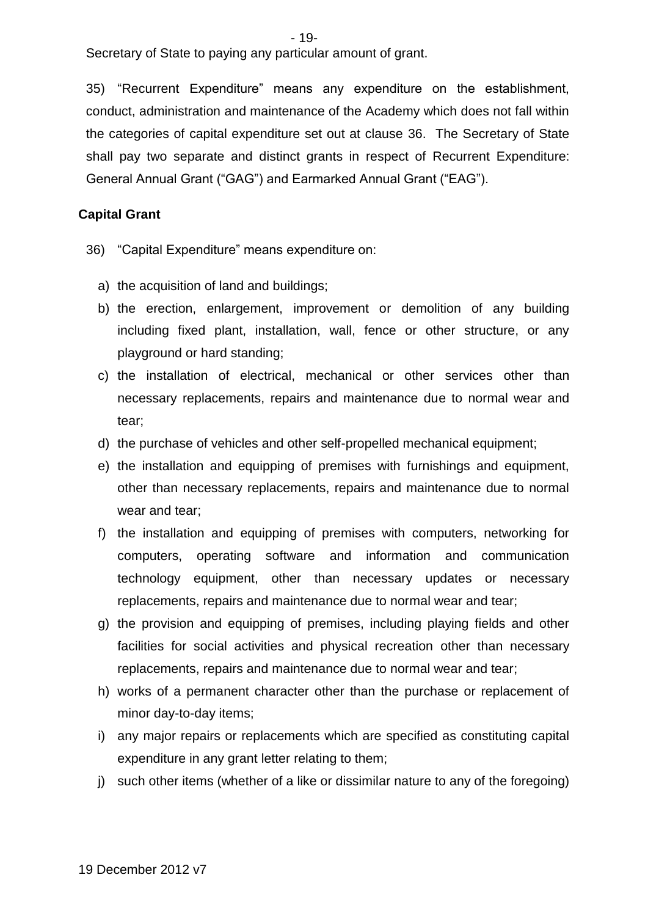Secretary of State to paying any particular amount of grant.

35) "Recurrent Expenditure" means any expenditure on the establishment, conduct, administration and maintenance of the Academy which does not fall within the categories of capital expenditure set out at clause 36. The Secretary of State shall pay two separate and distinct grants in respect of Recurrent Expenditure: General Annual Grant ("GAG") and Earmarked Annual Grant ("EAG").

#### **Capital Grant**

- 36) "Capital Expenditure" means expenditure on:
	- a) the acquisition of land and buildings;
	- b) the erection, enlargement, improvement or demolition of any building including fixed plant, installation, wall, fence or other structure, or any playground or hard standing;
	- c) the installation of electrical, mechanical or other services other than necessary replacements, repairs and maintenance due to normal wear and tear;
	- d) the purchase of vehicles and other self-propelled mechanical equipment;
	- e) the installation and equipping of premises with furnishings and equipment, other than necessary replacements, repairs and maintenance due to normal wear and tear;
	- f) the installation and equipping of premises with computers, networking for computers, operating software and information and communication technology equipment, other than necessary updates or necessary replacements, repairs and maintenance due to normal wear and tear;
	- g) the provision and equipping of premises, including playing fields and other facilities for social activities and physical recreation other than necessary replacements, repairs and maintenance due to normal wear and tear;
	- h) works of a permanent character other than the purchase or replacement of minor day-to-day items;
	- i) any major repairs or replacements which are specified as constituting capital expenditure in any grant letter relating to them;
	- j) such other items (whether of a like or dissimilar nature to any of the foregoing)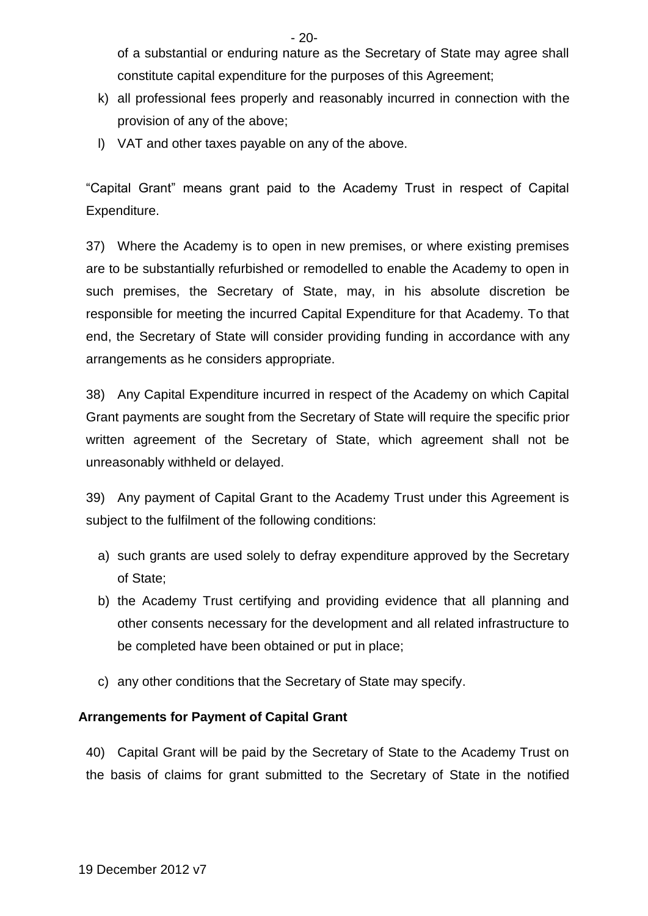- 20-

of a substantial or enduring nature as the Secretary of State may agree shall constitute capital expenditure for the purposes of this Agreement;

- k) all professional fees properly and reasonably incurred in connection with the provision of any of the above;
- l) VAT and other taxes payable on any of the above.

"Capital Grant" means grant paid to the Academy Trust in respect of Capital Expenditure.

37) Where the Academy is to open in new premises, or where existing premises are to be substantially refurbished or remodelled to enable the Academy to open in such premises, the Secretary of State, may, in his absolute discretion be responsible for meeting the incurred Capital Expenditure for that Academy. To that end, the Secretary of State will consider providing funding in accordance with any arrangements as he considers appropriate.

38) Any Capital Expenditure incurred in respect of the Academy on which Capital Grant payments are sought from the Secretary of State will require the specific prior written agreement of the Secretary of State, which agreement shall not be unreasonably withheld or delayed.

39) Any payment of Capital Grant to the Academy Trust under this Agreement is subject to the fulfilment of the following conditions:

- a) such grants are used solely to defray expenditure approved by the Secretary of State;
- b) the Academy Trust certifying and providing evidence that all planning and other consents necessary for the development and all related infrastructure to be completed have been obtained or put in place;
- c) any other conditions that the Secretary of State may specify.

# **Arrangements for Payment of Capital Grant**

40) Capital Grant will be paid by the Secretary of State to the Academy Trust on the basis of claims for grant submitted to the Secretary of State in the notified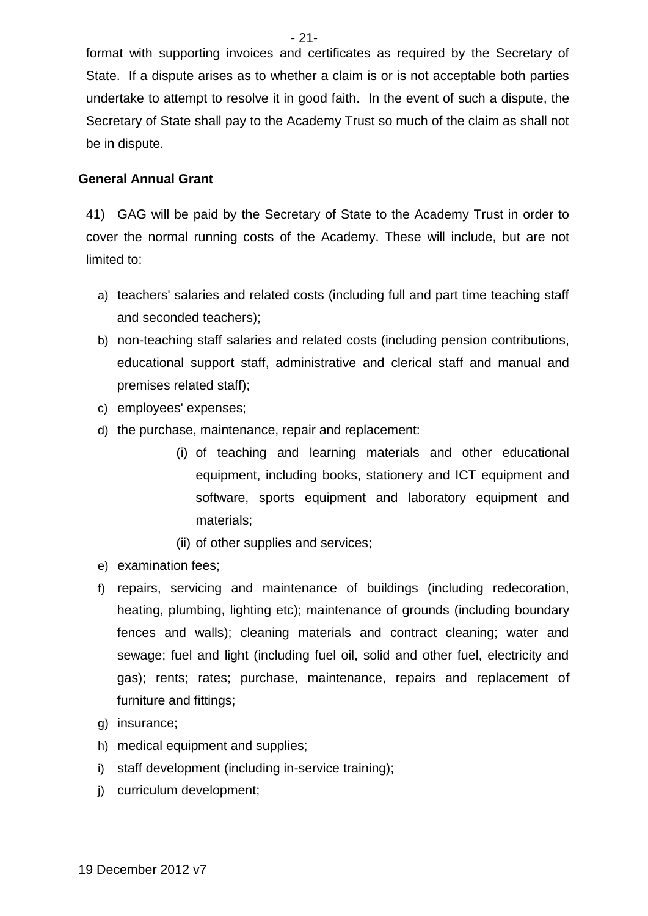- 21-

format with supporting invoices and certificates as required by the Secretary of State. If a dispute arises as to whether a claim is or is not acceptable both parties undertake to attempt to resolve it in good faith. In the event of such a dispute, the Secretary of State shall pay to the Academy Trust so much of the claim as shall not be in dispute.

## **General Annual Grant**

41) GAG will be paid by the Secretary of State to the Academy Trust in order to cover the normal running costs of the Academy. These will include, but are not limited to:

- a) teachers' salaries and related costs (including full and part time teaching staff and seconded teachers);
- b) non-teaching staff salaries and related costs (including pension contributions, educational support staff, administrative and clerical staff and manual and premises related staff);
- c) employees' expenses;
- d) the purchase, maintenance, repair and replacement:
	- (i) of teaching and learning materials and other educational equipment, including books, stationery and ICT equipment and software, sports equipment and laboratory equipment and materials;
	- (ii) of other supplies and services;
- e) examination fees;
- f) repairs, servicing and maintenance of buildings (including redecoration, heating, plumbing, lighting etc); maintenance of grounds (including boundary fences and walls); cleaning materials and contract cleaning; water and sewage; fuel and light (including fuel oil, solid and other fuel, electricity and gas); rents; rates; purchase, maintenance, repairs and replacement of furniture and fittings;
- g) insurance;
- h) medical equipment and supplies;
- i) staff development (including in-service training);
- j) curriculum development;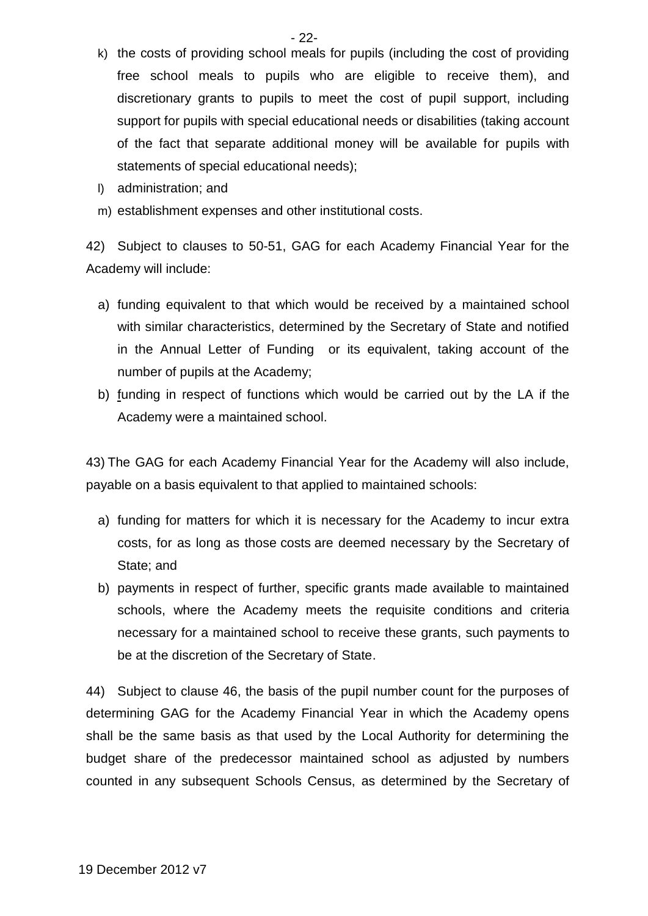- k) the costs of providing school meals for pupils (including the cost of providing free school meals to pupils who are eligible to receive them), and discretionary grants to pupils to meet the cost of pupil support, including support for pupils with special educational needs or disabilities (taking account of the fact that separate additional money will be available for pupils with statements of special educational needs);
- l) administration; and
- m) establishment expenses and other institutional costs.

42) Subject to clauses to 50-51, GAG for each Academy Financial Year for the Academy will include:

- a) funding equivalent to that which would be received by a maintained school with similar characteristics, determined by the Secretary of State and notified in the Annual Letter of Funding or its equivalent, taking account of the number of pupils at the Academy;
- b) funding in respect of functions which would be carried out by the LA if the Academy were a maintained school.

43) The GAG for each Academy Financial Year for the Academy will also include, payable on a basis equivalent to that applied to maintained schools:

- a) funding for matters for which it is necessary for the Academy to incur extra costs, for as long as those costs are deemed necessary by the Secretary of State; and
- b) payments in respect of further, specific grants made available to maintained schools, where the Academy meets the requisite conditions and criteria necessary for a maintained school to receive these grants, such payments to be at the discretion of the Secretary of State.

44) Subject to clause 46, the basis of the pupil number count for the purposes of determining GAG for the Academy Financial Year in which the Academy opens shall be the same basis as that used by the Local Authority for determining the budget share of the predecessor maintained school as adjusted by numbers counted in any subsequent Schools Census, as determined by the Secretary of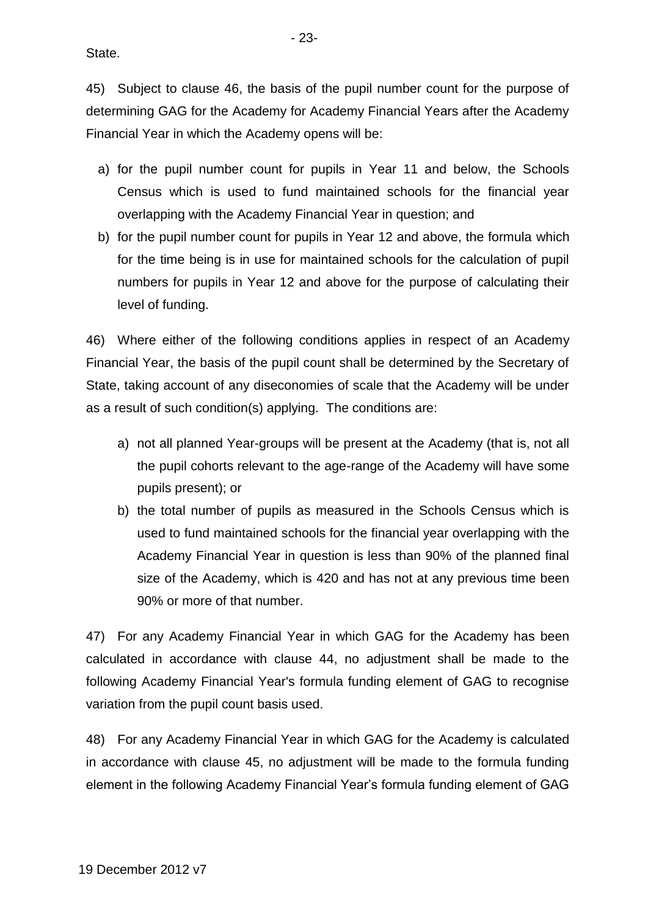State.

45) Subject to clause 46, the basis of the pupil number count for the purpose of determining GAG for the Academy for Academy Financial Years after the Academy Financial Year in which the Academy opens will be:

- a) for the pupil number count for pupils in Year 11 and below, the Schools Census which is used to fund maintained schools for the financial year overlapping with the Academy Financial Year in question; and
- b) for the pupil number count for pupils in Year 12 and above, the formula which for the time being is in use for maintained schools for the calculation of pupil numbers for pupils in Year 12 and above for the purpose of calculating their level of funding.

46) Where either of the following conditions applies in respect of an Academy Financial Year, the basis of the pupil count shall be determined by the Secretary of State, taking account of any diseconomies of scale that the Academy will be under as a result of such condition(s) applying. The conditions are:

- a) not all planned Year-groups will be present at the Academy (that is, not all the pupil cohorts relevant to the age-range of the Academy will have some pupils present); or
- b) the total number of pupils as measured in the Schools Census which is used to fund maintained schools for the financial year overlapping with the Academy Financial Year in question is less than 90% of the planned final size of the Academy, which is 420 and has not at any previous time been 90% or more of that number.

47) For any Academy Financial Year in which GAG for the Academy has been calculated in accordance with clause 44, no adjustment shall be made to the following Academy Financial Year's formula funding element of GAG to recognise variation from the pupil count basis used.

48) For any Academy Financial Year in which GAG for the Academy is calculated in accordance with clause 45, no adjustment will be made to the formula funding element in the following Academy Financial Year's formula funding element of GAG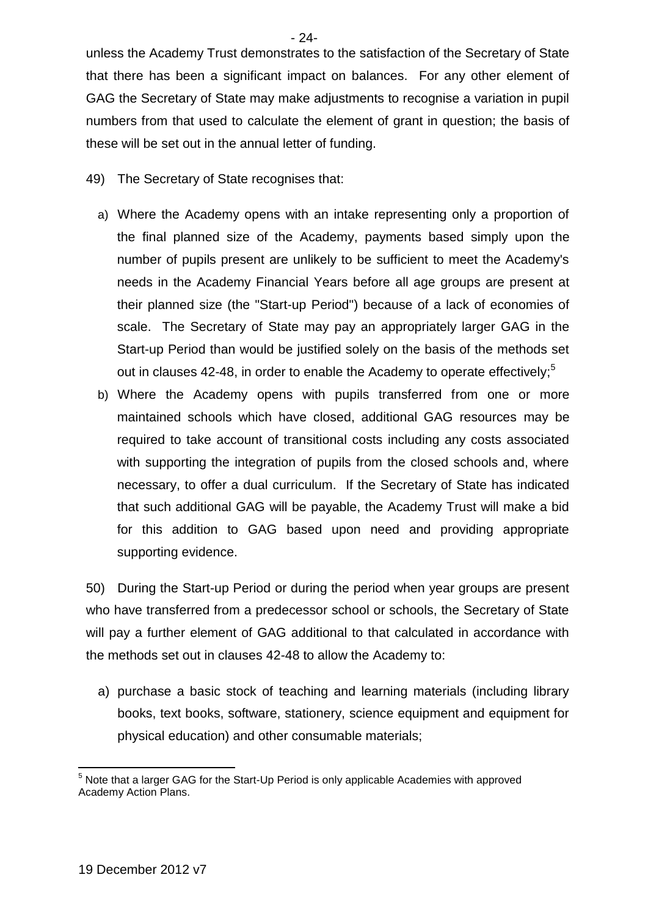- 24-

unless the Academy Trust demonstrates to the satisfaction of the Secretary of State that there has been a significant impact on balances. For any other element of GAG the Secretary of State may make adjustments to recognise a variation in pupil numbers from that used to calculate the element of grant in question; the basis of these will be set out in the annual letter of funding.

- 49) The Secretary of State recognises that:
	- a) Where the Academy opens with an intake representing only a proportion of the final planned size of the Academy, payments based simply upon the number of pupils present are unlikely to be sufficient to meet the Academy's needs in the Academy Financial Years before all age groups are present at their planned size (the "Start-up Period") because of a lack of economies of scale. The Secretary of State may pay an appropriately larger GAG in the Start-up Period than would be justified solely on the basis of the methods set out in clauses 42-48, in order to enable the Academy to operate effectively;<sup>5</sup>
	- b) Where the Academy opens with pupils transferred from one or more maintained schools which have closed, additional GAG resources may be required to take account of transitional costs including any costs associated with supporting the integration of pupils from the closed schools and, where necessary, to offer a dual curriculum. If the Secretary of State has indicated that such additional GAG will be payable, the Academy Trust will make a bid for this addition to GAG based upon need and providing appropriate supporting evidence.

50) During the Start-up Period or during the period when year groups are present who have transferred from a predecessor school or schools, the Secretary of State will pay a further element of GAG additional to that calculated in accordance with the methods set out in clauses 42-48 to allow the Academy to:

a) purchase a basic stock of teaching and learning materials (including library books, text books, software, stationery, science equipment and equipment for physical education) and other consumable materials;

<sup>1</sup>  $<sup>5</sup>$  Note that a larger GAG for the Start-Up Period is only applicable Academies with approved</sup> Academy Action Plans.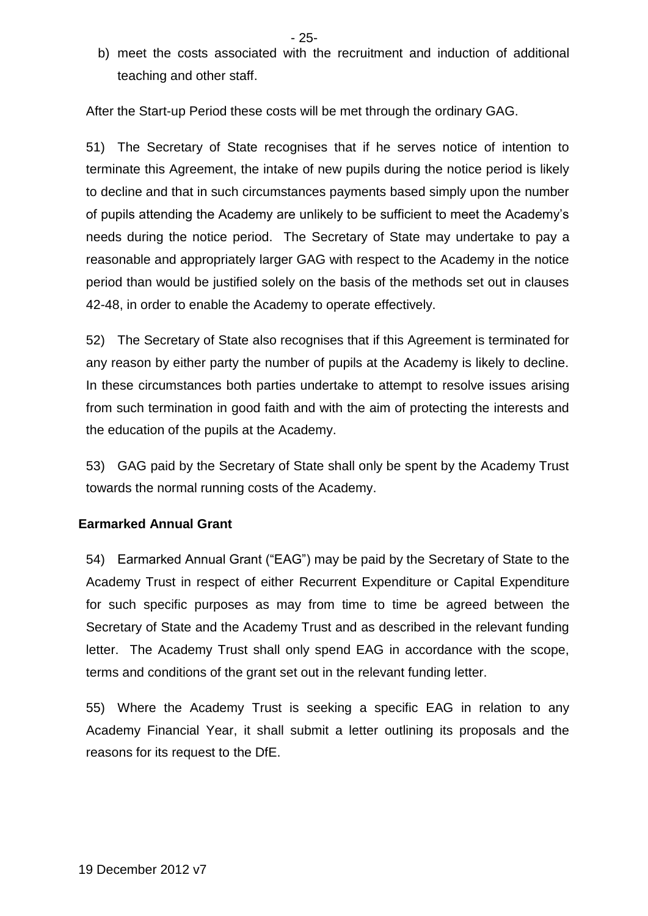b) meet the costs associated with the recruitment and induction of additional teaching and other staff.

After the Start-up Period these costs will be met through the ordinary GAG.

51) The Secretary of State recognises that if he serves notice of intention to terminate this Agreement, the intake of new pupils during the notice period is likely to decline and that in such circumstances payments based simply upon the number of pupils attending the Academy are unlikely to be sufficient to meet the Academy's needs during the notice period. The Secretary of State may undertake to pay a reasonable and appropriately larger GAG with respect to the Academy in the notice period than would be justified solely on the basis of the methods set out in clauses 42-48, in order to enable the Academy to operate effectively.

52) The Secretary of State also recognises that if this Agreement is terminated for any reason by either party the number of pupils at the Academy is likely to decline. In these circumstances both parties undertake to attempt to resolve issues arising from such termination in good faith and with the aim of protecting the interests and the education of the pupils at the Academy.

53) GAG paid by the Secretary of State shall only be spent by the Academy Trust towards the normal running costs of the Academy.

### **Earmarked Annual Grant**

54) Earmarked Annual Grant ("EAG") may be paid by the Secretary of State to the Academy Trust in respect of either Recurrent Expenditure or Capital Expenditure for such specific purposes as may from time to time be agreed between the Secretary of State and the Academy Trust and as described in the relevant funding letter. The Academy Trust shall only spend EAG in accordance with the scope, terms and conditions of the grant set out in the relevant funding letter.

55) Where the Academy Trust is seeking a specific EAG in relation to any Academy Financial Year, it shall submit a letter outlining its proposals and the reasons for its request to the DfE.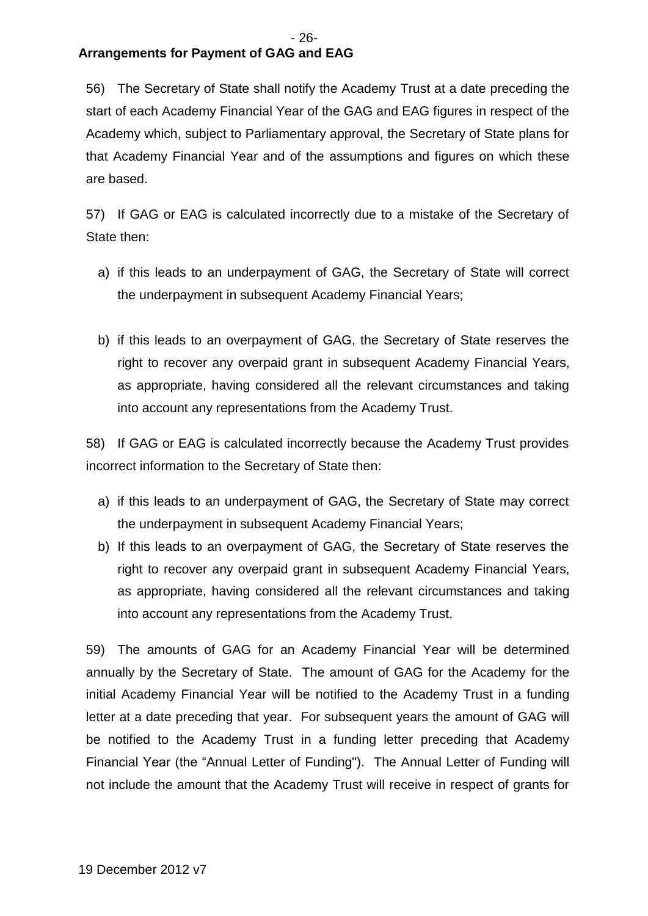# **Arrangements for Payment of GAG and EAG**

56) The Secretary of State shall notify the Academy Trust at a date preceding the start of each Academy Financial Year of the GAG and EAG figures in respect of the Academy which, subject to Parliamentary approval, the Secretary of State plans for that Academy Financial Year and of the assumptions and figures on which these are based.

57) If GAG or EAG is calculated incorrectly due to a mistake of the Secretary of State then:

- a) if this leads to an underpayment of GAG, the Secretary of State will correct the underpayment in subsequent Academy Financial Years;
- b) if this leads to an overpayment of GAG, the Secretary of State reserves the right to recover any overpaid grant in subsequent Academy Financial Years, as appropriate, having considered all the relevant circumstances and taking into account any representations from the Academy Trust.

58) If GAG or EAG is calculated incorrectly because the Academy Trust provides incorrect information to the Secretary of State then:

- a) if this leads to an underpayment of GAG, the Secretary of State may correct the underpayment in subsequent Academy Financial Years;
- b) If this leads to an overpayment of GAG, the Secretary of State reserves the right to recover any overpaid grant in subsequent Academy Financial Years, as appropriate, having considered all the relevant circumstances and taking into account any representations from the Academy Trust.

59) The amounts of GAG for an Academy Financial Year will be determined annually by the Secretary of State. The amount of GAG for the Academy for the initial Academy Financial Year will be notified to the Academy Trust in a funding letter at a date preceding that year. For subsequent years the amount of GAG will be notified to the Academy Trust in a funding letter preceding that Academy Financial Year (the "Annual Letter of Funding"). The Annual Letter of Funding will not include the amount that the Academy Trust will receive in respect of grants for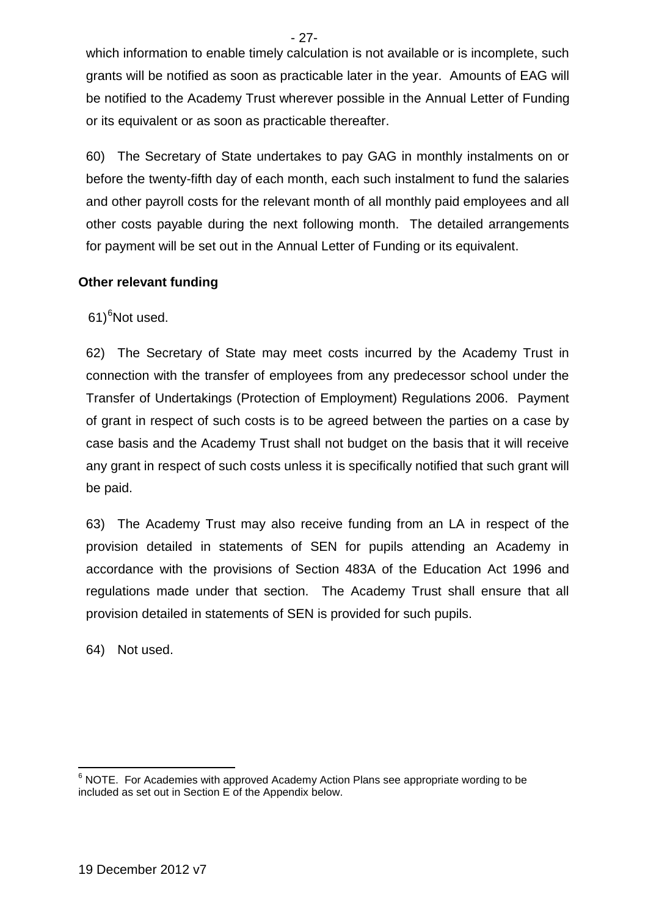which information to enable timely calculation is not available or is incomplete, such grants will be notified as soon as practicable later in the year. Amounts of EAG will be notified to the Academy Trust wherever possible in the Annual Letter of Funding or its equivalent or as soon as practicable thereafter.

60) The Secretary of State undertakes to pay GAG in monthly instalments on or before the twenty-fifth day of each month, each such instalment to fund the salaries and other payroll costs for the relevant month of all monthly paid employees and all other costs payable during the next following month. The detailed arrangements for payment will be set out in the Annual Letter of Funding or its equivalent.

# **Other relevant funding**

61)<sup>6</sup>Not used.

62) The Secretary of State may meet costs incurred by the Academy Trust in connection with the transfer of employees from any predecessor school under the Transfer of Undertakings (Protection of Employment) Regulations 2006. Payment of grant in respect of such costs is to be agreed between the parties on a case by case basis and the Academy Trust shall not budget on the basis that it will receive any grant in respect of such costs unless it is specifically notified that such grant will be paid.

63) The Academy Trust may also receive funding from an LA in respect of the provision detailed in statements of SEN for pupils attending an Academy in accordance with the provisions of Section 483A of the Education Act 1996 and regulations made under that section. The Academy Trust shall ensure that all provision detailed in statements of SEN is provided for such pupils.

64) Not used.

- 27-

<sup>1</sup>  $6$  NOTE. For Academies with approved Academy Action Plans see appropriate wording to be included as set out in Section E of the Appendix below.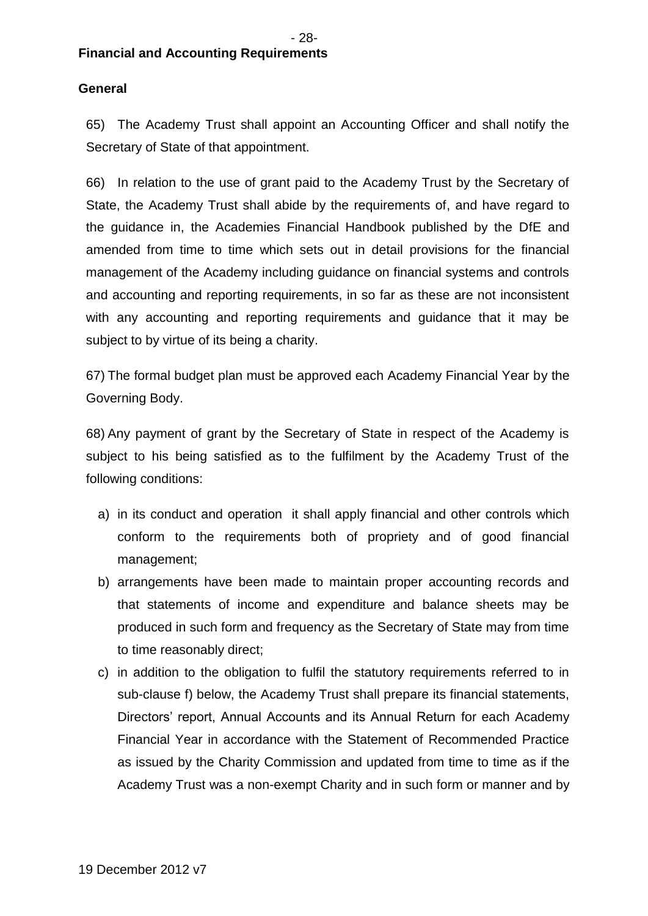# **General**

65) The Academy Trust shall appoint an Accounting Officer and shall notify the Secretary of State of that appointment.

66) In relation to the use of grant paid to the Academy Trust by the Secretary of State, the Academy Trust shall abide by the requirements of, and have regard to the guidance in, the Academies Financial Handbook published by the DfE and amended from time to time which sets out in detail provisions for the financial management of the Academy including guidance on financial systems and controls and accounting and reporting requirements, in so far as these are not inconsistent with any accounting and reporting requirements and guidance that it may be subject to by virtue of its being a charity.

67) The formal budget plan must be approved each Academy Financial Year by the Governing Body.

68) Any payment of grant by the Secretary of State in respect of the Academy is subject to his being satisfied as to the fulfilment by the Academy Trust of the following conditions:

- a) in its conduct and operation it shall apply financial and other controls which conform to the requirements both of propriety and of good financial management;
- b) arrangements have been made to maintain proper accounting records and that statements of income and expenditure and balance sheets may be produced in such form and frequency as the Secretary of State may from time to time reasonably direct;
- c) in addition to the obligation to fulfil the statutory requirements referred to in sub-clause f) below, the Academy Trust shall prepare its financial statements, Directors' report, Annual Accounts and its Annual Return for each Academy Financial Year in accordance with the Statement of Recommended Practice as issued by the Charity Commission and updated from time to time as if the Academy Trust was a non-exempt Charity and in such form or manner and by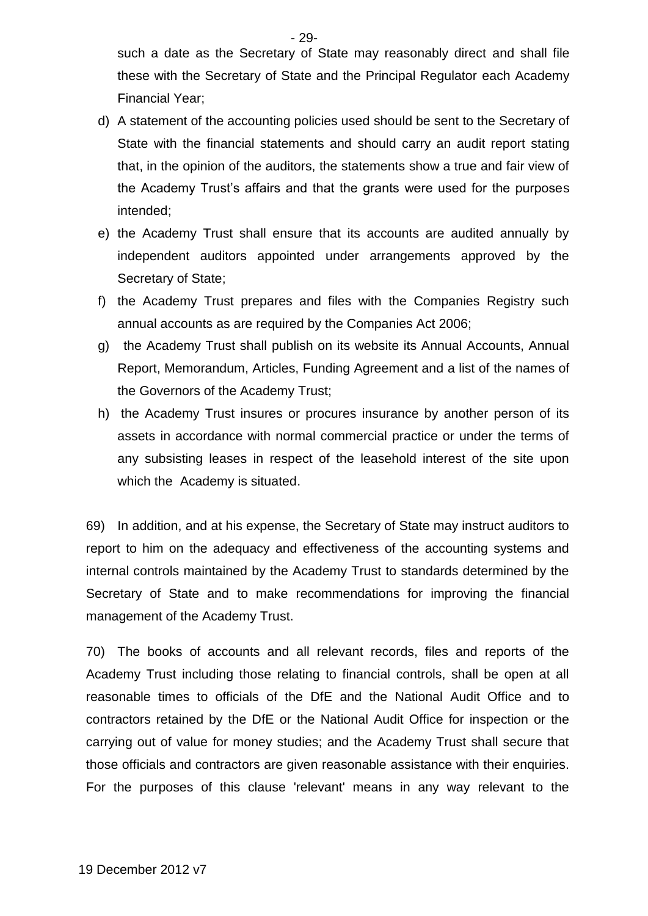such a date as the Secretary of State may reasonably direct and shall file these with the Secretary of State and the Principal Regulator each Academy Financial Year;

- d) A statement of the accounting policies used should be sent to the Secretary of State with the financial statements and should carry an audit report stating that, in the opinion of the auditors, the statements show a true and fair view of the Academy Trust's affairs and that the grants were used for the purposes intended;
- e) the Academy Trust shall ensure that its accounts are audited annually by independent auditors appointed under arrangements approved by the Secretary of State;
- f) the Academy Trust prepares and files with the Companies Registry such annual accounts as are required by the Companies Act 2006;
- g) the Academy Trust shall publish on its website its Annual Accounts, Annual Report, Memorandum, Articles, Funding Agreement and a list of the names of the Governors of the Academy Trust;
- h) the Academy Trust insures or procures insurance by another person of its assets in accordance with normal commercial practice or under the terms of any subsisting leases in respect of the leasehold interest of the site upon which the Academy is situated.

69) In addition, and at his expense, the Secretary of State may instruct auditors to report to him on the adequacy and effectiveness of the accounting systems and internal controls maintained by the Academy Trust to standards determined by the Secretary of State and to make recommendations for improving the financial management of the Academy Trust.

70) The books of accounts and all relevant records, files and reports of the Academy Trust including those relating to financial controls, shall be open at all reasonable times to officials of the DfE and the National Audit Office and to contractors retained by the DfE or the National Audit Office for inspection or the carrying out of value for money studies; and the Academy Trust shall secure that those officials and contractors are given reasonable assistance with their enquiries. For the purposes of this clause 'relevant' means in any way relevant to the

- 29-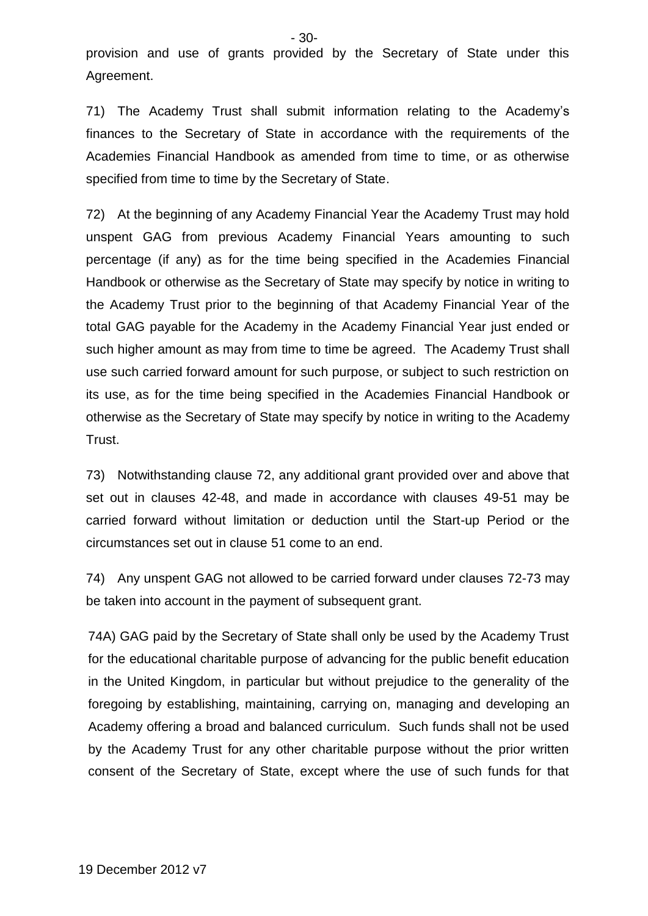provision and use of grants provided by the Secretary of State under this Agreement.

71) The Academy Trust shall submit information relating to the Academy's finances to the Secretary of State in accordance with the requirements of the Academies Financial Handbook as amended from time to time, or as otherwise specified from time to time by the Secretary of State.

72) At the beginning of any Academy Financial Year the Academy Trust may hold unspent GAG from previous Academy Financial Years amounting to such percentage (if any) as for the time being specified in the Academies Financial Handbook or otherwise as the Secretary of State may specify by notice in writing to the Academy Trust prior to the beginning of that Academy Financial Year of the total GAG payable for the Academy in the Academy Financial Year just ended or such higher amount as may from time to time be agreed. The Academy Trust shall use such carried forward amount for such purpose, or subject to such restriction on its use, as for the time being specified in the Academies Financial Handbook or otherwise as the Secretary of State may specify by notice in writing to the Academy Trust.

73) Notwithstanding clause 72, any additional grant provided over and above that set out in clauses 42-48, and made in accordance with clauses 49-51 may be carried forward without limitation or deduction until the Start-up Period or the circumstances set out in clause 51 come to an end.

74) Any unspent GAG not allowed to be carried forward under clauses 72-73 may be taken into account in the payment of subsequent grant.

74A) GAG paid by the Secretary of State shall only be used by the Academy Trust for the educational charitable purpose of advancing for the public benefit education in the United Kingdom, in particular but without prejudice to the generality of the foregoing by establishing, maintaining, carrying on, managing and developing an Academy offering a broad and balanced curriculum. Such funds shall not be used by the Academy Trust for any other charitable purpose without the prior written consent of the Secretary of State, except where the use of such funds for that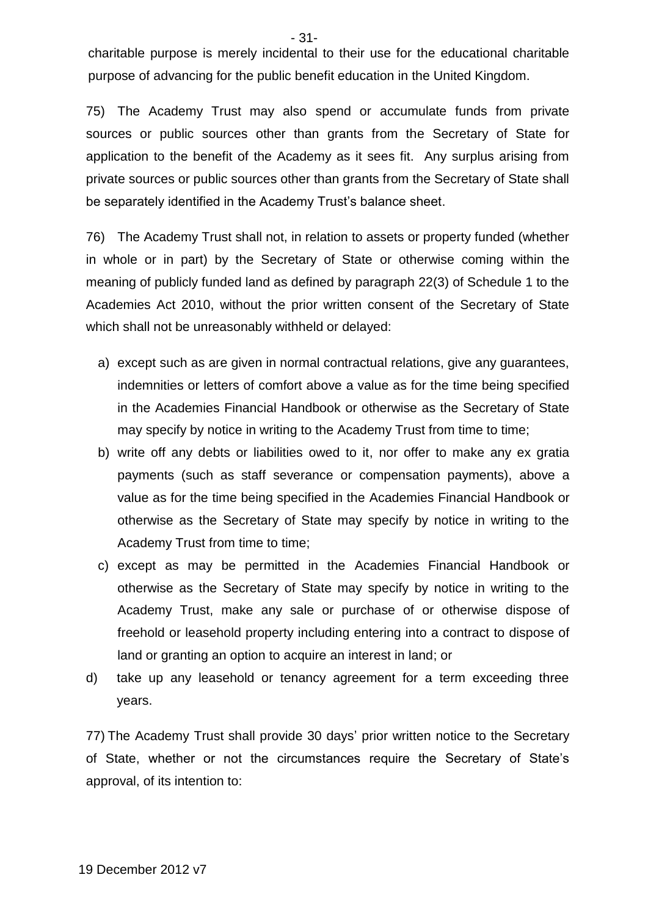charitable purpose is merely incidental to their use for the educational charitable purpose of advancing for the public benefit education in the United Kingdom.

75) The Academy Trust may also spend or accumulate funds from private sources or public sources other than grants from the Secretary of State for application to the benefit of the Academy as it sees fit. Any surplus arising from private sources or public sources other than grants from the Secretary of State shall be separately identified in the Academy Trust's balance sheet.

76) The Academy Trust shall not, in relation to assets or property funded (whether in whole or in part) by the Secretary of State or otherwise coming within the meaning of publicly funded land as defined by paragraph 22(3) of Schedule 1 to the Academies Act 2010, without the prior written consent of the Secretary of State which shall not be unreasonably withheld or delayed:

- a) except such as are given in normal contractual relations, give any guarantees, indemnities or letters of comfort above a value as for the time being specified in the Academies Financial Handbook or otherwise as the Secretary of State may specify by notice in writing to the Academy Trust from time to time;
- b) write off any debts or liabilities owed to it, nor offer to make any ex gratia payments (such as staff severance or compensation payments), above a value as for the time being specified in the Academies Financial Handbook or otherwise as the Secretary of State may specify by notice in writing to the Academy Trust from time to time;
- c) except as may be permitted in the Academies Financial Handbook or otherwise as the Secretary of State may specify by notice in writing to the Academy Trust, make any sale or purchase of or otherwise dispose of freehold or leasehold property including entering into a contract to dispose of land or granting an option to acquire an interest in land; or
- d) take up any leasehold or tenancy agreement for a term exceeding three years.

77) The Academy Trust shall provide 30 days' prior written notice to the Secretary of State, whether or not the circumstances require the Secretary of State's approval, of its intention to:

- 31-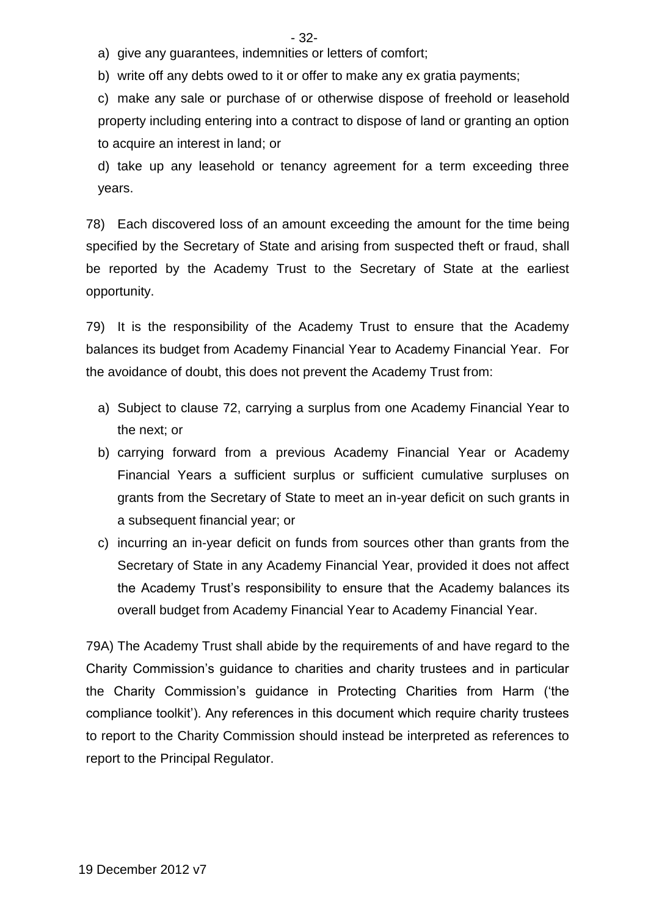- 32-

a) give any guarantees, indemnities or letters of comfort;

b) write off any debts owed to it or offer to make any ex gratia payments;

c) make any sale or purchase of or otherwise dispose of freehold or leasehold property including entering into a contract to dispose of land or granting an option to acquire an interest in land; or

d) take up any leasehold or tenancy agreement for a term exceeding three years.

78) Each discovered loss of an amount exceeding the amount for the time being specified by the Secretary of State and arising from suspected theft or fraud, shall be reported by the Academy Trust to the Secretary of State at the earliest opportunity.

79) It is the responsibility of the Academy Trust to ensure that the Academy balances its budget from Academy Financial Year to Academy Financial Year. For the avoidance of doubt, this does not prevent the Academy Trust from:

- a) Subject to clause 72, carrying a surplus from one Academy Financial Year to the next; or
- b) carrying forward from a previous Academy Financial Year or Academy Financial Years a sufficient surplus or sufficient cumulative surpluses on grants from the Secretary of State to meet an in-year deficit on such grants in a subsequent financial year; or
- c) incurring an in-year deficit on funds from sources other than grants from the Secretary of State in any Academy Financial Year, provided it does not affect the Academy Trust's responsibility to ensure that the Academy balances its overall budget from Academy Financial Year to Academy Financial Year.

79A) The Academy Trust shall abide by the requirements of and have regard to the Charity Commission's guidance to charities and charity trustees and in particular the Charity Commission's guidance in Protecting Charities from Harm ('the compliance toolkit'). Any references in this document which require charity trustees to report to the Charity Commission should instead be interpreted as references to report to the Principal Regulator.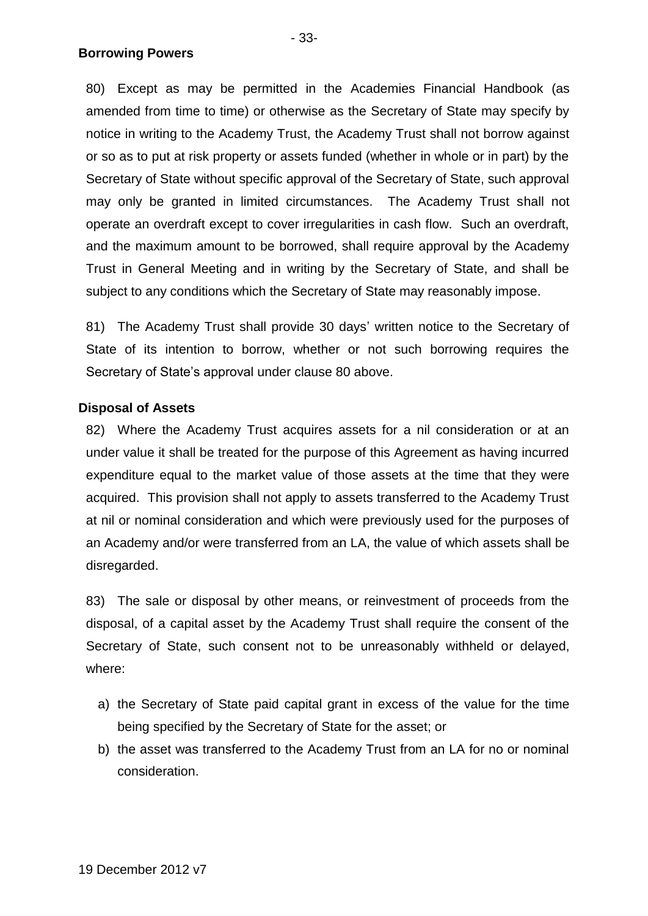80) Except as may be permitted in the Academies Financial Handbook (as amended from time to time) or otherwise as the Secretary of State may specify by notice in writing to the Academy Trust, the Academy Trust shall not borrow against or so as to put at risk property or assets funded (whether in whole or in part) by the Secretary of State without specific approval of the Secretary of State, such approval may only be granted in limited circumstances. The Academy Trust shall not operate an overdraft except to cover irregularities in cash flow. Such an overdraft, and the maximum amount to be borrowed, shall require approval by the Academy Trust in General Meeting and in writing by the Secretary of State, and shall be subject to any conditions which the Secretary of State may reasonably impose.

81) The Academy Trust shall provide 30 days' written notice to the Secretary of State of its intention to borrow, whether or not such borrowing requires the Secretary of State's approval under clause 80 above.

### **Disposal of Assets**

82) Where the Academy Trust acquires assets for a nil consideration or at an under value it shall be treated for the purpose of this Agreement as having incurred expenditure equal to the market value of those assets at the time that they were acquired. This provision shall not apply to assets transferred to the Academy Trust at nil or nominal consideration and which were previously used for the purposes of an Academy and/or were transferred from an LA, the value of which assets shall be disregarded.

83) The sale or disposal by other means, or reinvestment of proceeds from the disposal, of a capital asset by the Academy Trust shall require the consent of the Secretary of State, such consent not to be unreasonably withheld or delayed, where:

- a) the Secretary of State paid capital grant in excess of the value for the time being specified by the Secretary of State for the asset; or
- b) the asset was transferred to the Academy Trust from an LA for no or nominal consideration.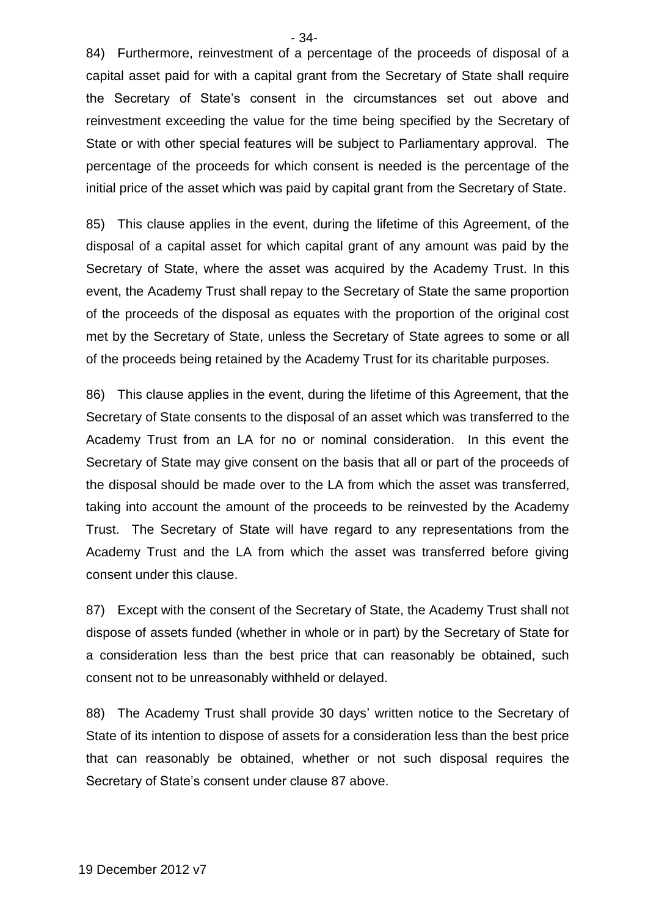84) Furthermore, reinvestment of a percentage of the proceeds of disposal of a capital asset paid for with a capital grant from the Secretary of State shall require the Secretary of State's consent in the circumstances set out above and reinvestment exceeding the value for the time being specified by the Secretary of State or with other special features will be subject to Parliamentary approval. The percentage of the proceeds for which consent is needed is the percentage of the initial price of the asset which was paid by capital grant from the Secretary of State.

85) This clause applies in the event, during the lifetime of this Agreement, of the disposal of a capital asset for which capital grant of any amount was paid by the Secretary of State, where the asset was acquired by the Academy Trust. In this event, the Academy Trust shall repay to the Secretary of State the same proportion of the proceeds of the disposal as equates with the proportion of the original cost met by the Secretary of State, unless the Secretary of State agrees to some or all of the proceeds being retained by the Academy Trust for its charitable purposes.

86) This clause applies in the event, during the lifetime of this Agreement, that the Secretary of State consents to the disposal of an asset which was transferred to the Academy Trust from an LA for no or nominal consideration. In this event the Secretary of State may give consent on the basis that all or part of the proceeds of the disposal should be made over to the LA from which the asset was transferred, taking into account the amount of the proceeds to be reinvested by the Academy Trust. The Secretary of State will have regard to any representations from the Academy Trust and the LA from which the asset was transferred before giving consent under this clause.

87) Except with the consent of the Secretary of State, the Academy Trust shall not dispose of assets funded (whether in whole or in part) by the Secretary of State for a consideration less than the best price that can reasonably be obtained, such consent not to be unreasonably withheld or delayed.

88) The Academy Trust shall provide 30 days' written notice to the Secretary of State of its intention to dispose of assets for a consideration less than the best price that can reasonably be obtained, whether or not such disposal requires the Secretary of State's consent under clause 87 above.

- 34-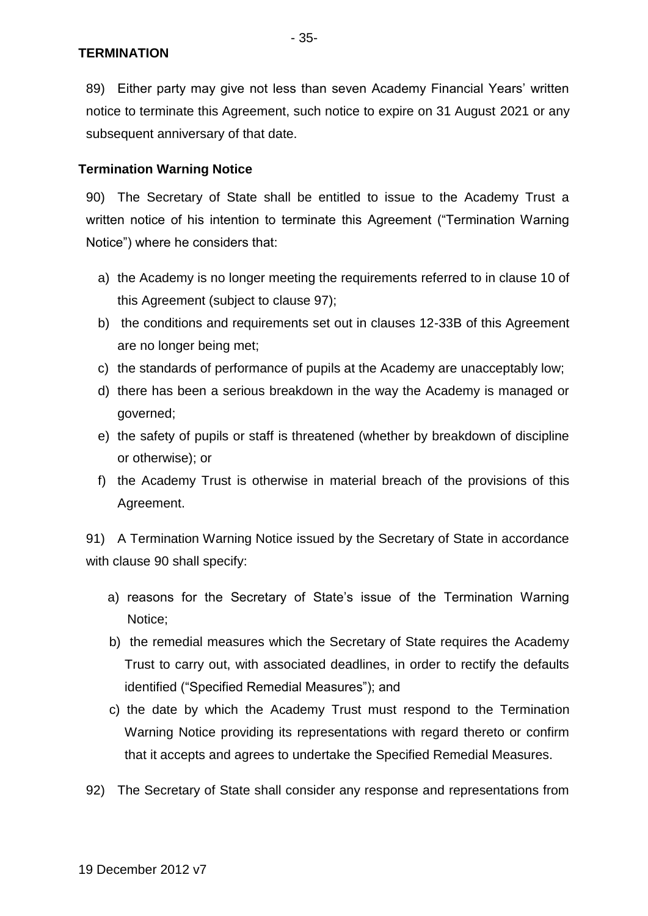89) Either party may give not less than seven Academy Financial Years' written notice to terminate this Agreement, such notice to expire on 31 August 2021 or any subsequent anniversary of that date.

# **Termination Warning Notice**

90) The Secretary of State shall be entitled to issue to the Academy Trust a written notice of his intention to terminate this Agreement ("Termination Warning Notice") where he considers that:

- a) the Academy is no longer meeting the requirements referred to in clause 10 of this Agreement (subject to clause 97);
- b) the conditions and requirements set out in clauses 12-33B of this Agreement are no longer being met;
- c) the standards of performance of pupils at the Academy are unacceptably low;
- d) there has been a serious breakdown in the way the Academy is managed or governed;
- e) the safety of pupils or staff is threatened (whether by breakdown of discipline or otherwise); or
- f) the Academy Trust is otherwise in material breach of the provisions of this Agreement.

91) A Termination Warning Notice issued by the Secretary of State in accordance with clause 90 shall specify:

- a) reasons for the Secretary of State's issue of the Termination Warning Notice;
- b) the remedial measures which the Secretary of State requires the Academy Trust to carry out, with associated deadlines, in order to rectify the defaults identified ("Specified Remedial Measures"); and
- c) the date by which the Academy Trust must respond to the Termination Warning Notice providing its representations with regard thereto or confirm that it accepts and agrees to undertake the Specified Remedial Measures.
- 92) The Secretary of State shall consider any response and representations from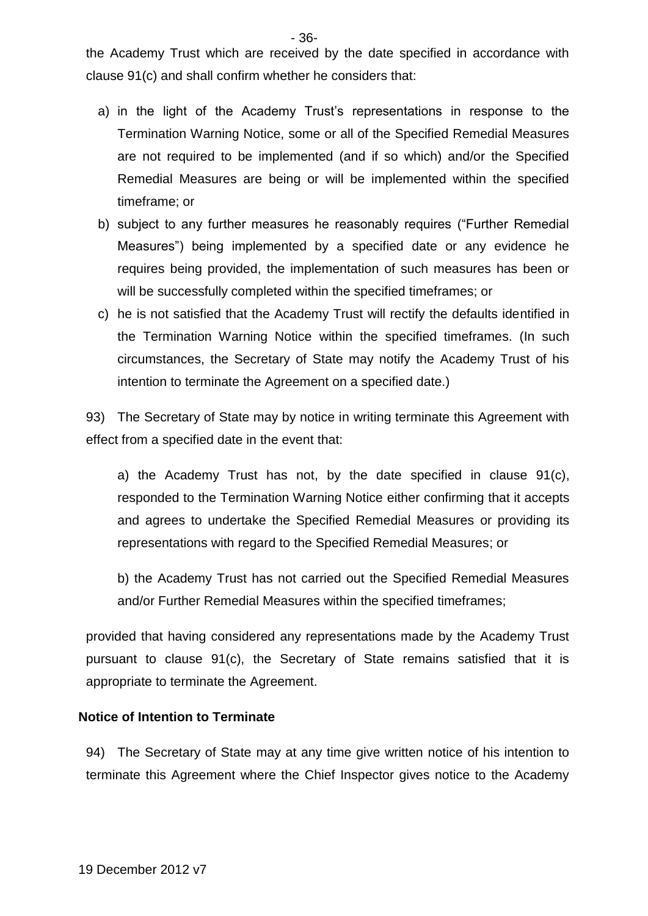the Academy Trust which are received by the date specified in accordance with clause 91(c) and shall confirm whether he considers that:

- a) in the light of the Academy Trust's representations in response to the Termination Warning Notice, some or all of the Specified Remedial Measures are not required to be implemented (and if so which) and/or the Specified Remedial Measures are being or will be implemented within the specified timeframe; or
- b) subject to any further measures he reasonably requires ("Further Remedial Measures") being implemented by a specified date or any evidence he requires being provided, the implementation of such measures has been or will be successfully completed within the specified timeframes; or
- c) he is not satisfied that the Academy Trust will rectify the defaults identified in the Termination Warning Notice within the specified timeframes. (In such circumstances, the Secretary of State may notify the Academy Trust of his intention to terminate the Agreement on a specified date.)

93) The Secretary of State may by notice in writing terminate this Agreement with effect from a specified date in the event that:

a) the Academy Trust has not, by the date specified in clause 91(c), responded to the Termination Warning Notice either confirming that it accepts and agrees to undertake the Specified Remedial Measures or providing its representations with regard to the Specified Remedial Measures; or

b) the Academy Trust has not carried out the Specified Remedial Measures and/or Further Remedial Measures within the specified timeframes;

provided that having considered any representations made by the Academy Trust pursuant to clause 91(c), the Secretary of State remains satisfied that it is appropriate to terminate the Agreement.

### **Notice of Intention to Terminate**

94) The Secretary of State may at any time give written notice of his intention to terminate this Agreement where the Chief Inspector gives notice to the Academy

- 36-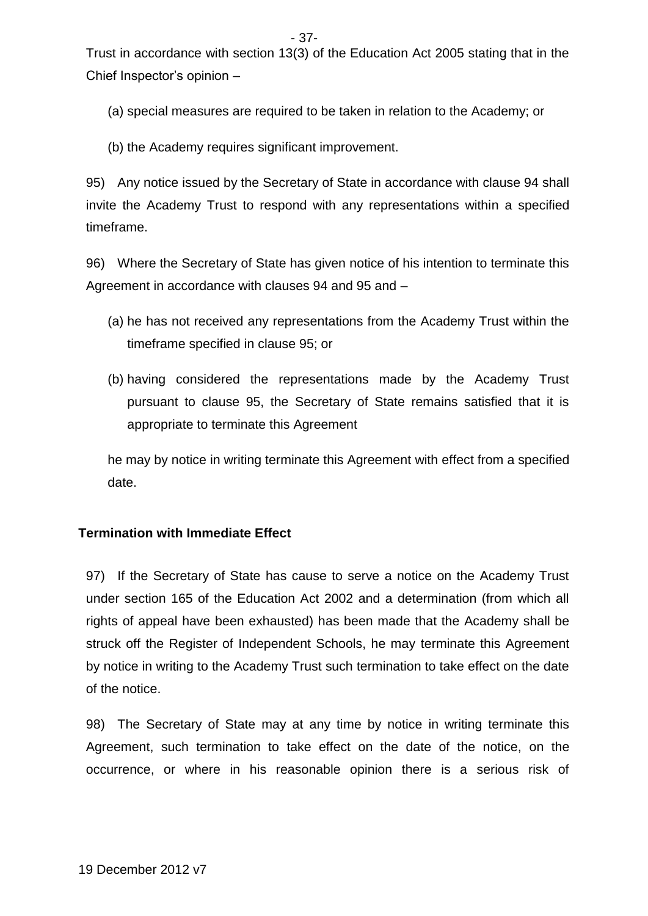Trust in accordance with section 13(3) of the Education Act 2005 stating that in the Chief Inspector's opinion –

(a) special measures are required to be taken in relation to the Academy; or

(b) the Academy requires significant improvement.

95) Any notice issued by the Secretary of State in accordance with clause 94 shall invite the Academy Trust to respond with any representations within a specified timeframe.

96) Where the Secretary of State has given notice of his intention to terminate this Agreement in accordance with clauses 94 and 95 and –

- (a) he has not received any representations from the Academy Trust within the timeframe specified in clause 95; or
- (b) having considered the representations made by the Academy Trust pursuant to clause 95, the Secretary of State remains satisfied that it is appropriate to terminate this Agreement

he may by notice in writing terminate this Agreement with effect from a specified date.

# **Termination with Immediate Effect**

97) If the Secretary of State has cause to serve a notice on the Academy Trust under section 165 of the Education Act 2002 and a determination (from which all rights of appeal have been exhausted) has been made that the Academy shall be struck off the Register of Independent Schools, he may terminate this Agreement by notice in writing to the Academy Trust such termination to take effect on the date of the notice.

98) The Secretary of State may at any time by notice in writing terminate this Agreement, such termination to take effect on the date of the notice, on the occurrence, or where in his reasonable opinion there is a serious risk of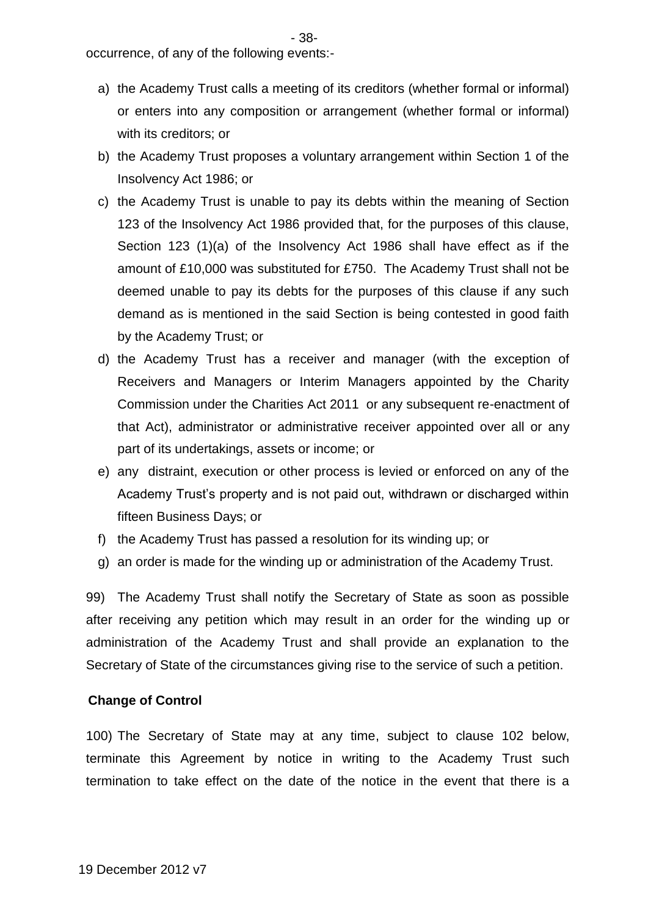occurrence, of any of the following events:-

- a) the Academy Trust calls a meeting of its creditors (whether formal or informal) or enters into any composition or arrangement (whether formal or informal) with its creditors; or
- b) the Academy Trust proposes a voluntary arrangement within Section 1 of the Insolvency Act 1986; or
- c) the Academy Trust is unable to pay its debts within the meaning of Section 123 of the Insolvency Act 1986 provided that, for the purposes of this clause, Section 123 (1)(a) of the Insolvency Act 1986 shall have effect as if the amount of £10,000 was substituted for £750. The Academy Trust shall not be deemed unable to pay its debts for the purposes of this clause if any such demand as is mentioned in the said Section is being contested in good faith by the Academy Trust; or
- d) the Academy Trust has a receiver and manager (with the exception of Receivers and Managers or Interim Managers appointed by the Charity Commission under the Charities Act 2011 or any subsequent re-enactment of that Act), administrator or administrative receiver appointed over all or any part of its undertakings, assets or income; or
- e) any distraint, execution or other process is levied or enforced on any of the Academy Trust's property and is not paid out, withdrawn or discharged within fifteen Business Days; or
- f) the Academy Trust has passed a resolution for its winding up; or
- g) an order is made for the winding up or administration of the Academy Trust.

99) The Academy Trust shall notify the Secretary of State as soon as possible after receiving any petition which may result in an order for the winding up or administration of the Academy Trust and shall provide an explanation to the Secretary of State of the circumstances giving rise to the service of such a petition.

### **Change of Control**

100) The Secretary of State may at any time, subject to clause 102 below, terminate this Agreement by notice in writing to the Academy Trust such termination to take effect on the date of the notice in the event that there is a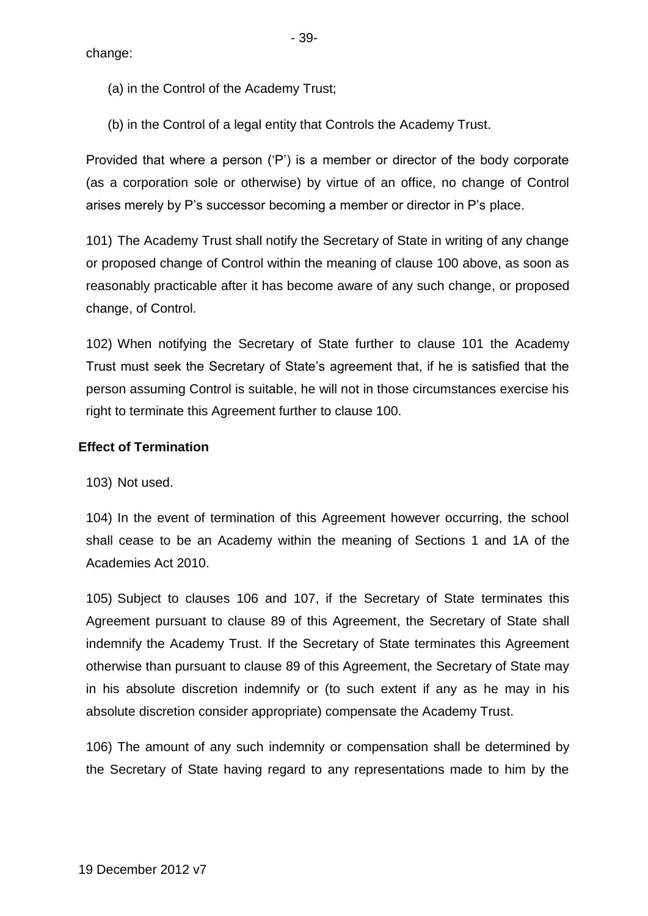change:

- 39-

(a) in the Control of the Academy Trust;

(b) in the Control of a legal entity that Controls the Academy Trust.

Provided that where a person ('P') is a member or director of the body corporate (as a corporation sole or otherwise) by virtue of an office, no change of Control arises merely by P's successor becoming a member or director in P's place.

101) The Academy Trust shall notify the Secretary of State in writing of any change or proposed change of Control within the meaning of clause 100 above, as soon as reasonably practicable after it has become aware of any such change, or proposed change, of Control.

102) When notifying the Secretary of State further to clause 101 the Academy Trust must seek the Secretary of State's agreement that, if he is satisfied that the person assuming Control is suitable, he will not in those circumstances exercise his right to terminate this Agreement further to clause 100.

# **Effect of Termination**

103) Not used.

104) In the event of termination of this Agreement however occurring, the school shall cease to be an Academy within the meaning of Sections 1 and 1A of the Academies Act 2010.

105) Subject to clauses 106 and 107, if the Secretary of State terminates this Agreement pursuant to clause 89 of this Agreement, the Secretary of State shall indemnify the Academy Trust. If the Secretary of State terminates this Agreement otherwise than pursuant to clause 89 of this Agreement, the Secretary of State may in his absolute discretion indemnify or (to such extent if any as he may in his absolute discretion consider appropriate) compensate the Academy Trust.

106) The amount of any such indemnity or compensation shall be determined by the Secretary of State having regard to any representations made to him by the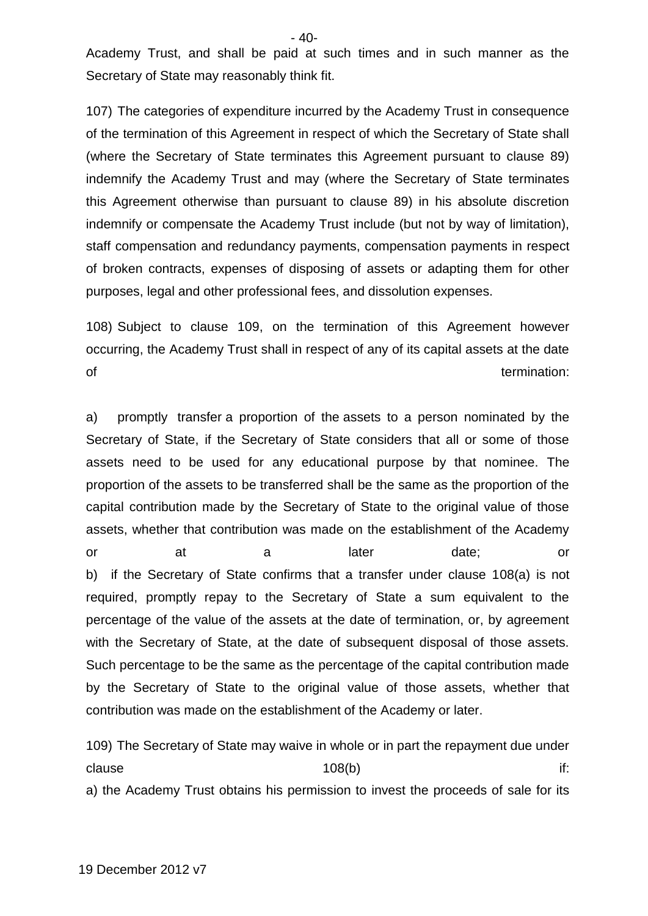Academy Trust, and shall be paid at such times and in such manner as the Secretary of State may reasonably think fit.

107) The categories of expenditure incurred by the Academy Trust in consequence of the termination of this Agreement in respect of which the Secretary of State shall (where the Secretary of State terminates this Agreement pursuant to clause 89) indemnify the Academy Trust and may (where the Secretary of State terminates this Agreement otherwise than pursuant to clause 89) in his absolute discretion indemnify or compensate the Academy Trust include (but not by way of limitation), staff compensation and redundancy payments, compensation payments in respect of broken contracts, expenses of disposing of assets or adapting them for other purposes, legal and other professional fees, and dissolution expenses.

108) Subject to clause 109, on the termination of this Agreement however occurring, the Academy Trust shall in respect of any of its capital assets at the date of the contract of the contract of the contract of the contract of the contract of the contract of the contract of the contract of the contract of the contract of the contract of the contract of the contract of the contrac

a) promptly transfer a proportion of the assets to a person nominated by the Secretary of State, if the Secretary of State considers that all or some of those assets need to be used for any educational purpose by that nominee. The proportion of the assets to be transferred shall be the same as the proportion of the capital contribution made by the Secretary of State to the original value of those assets, whether that contribution was made on the establishment of the Academy or at a later date; or b) if the Secretary of State confirms that a transfer under clause 108(a) is not required, promptly repay to the Secretary of State a sum equivalent to the percentage of the value of the assets at the date of termination, or, by agreement with the Secretary of State, at the date of subsequent disposal of those assets. Such percentage to be the same as the percentage of the capital contribution made by the Secretary of State to the original value of those assets, whether that contribution was made on the establishment of the Academy or later.

109) The Secretary of State may waive in whole or in part the repayment due under clause the contract of the 108(b) the clause of the clause of the contract of the contract of the contract of t a) the Academy Trust obtains his permission to invest the proceeds of sale for its

- 40-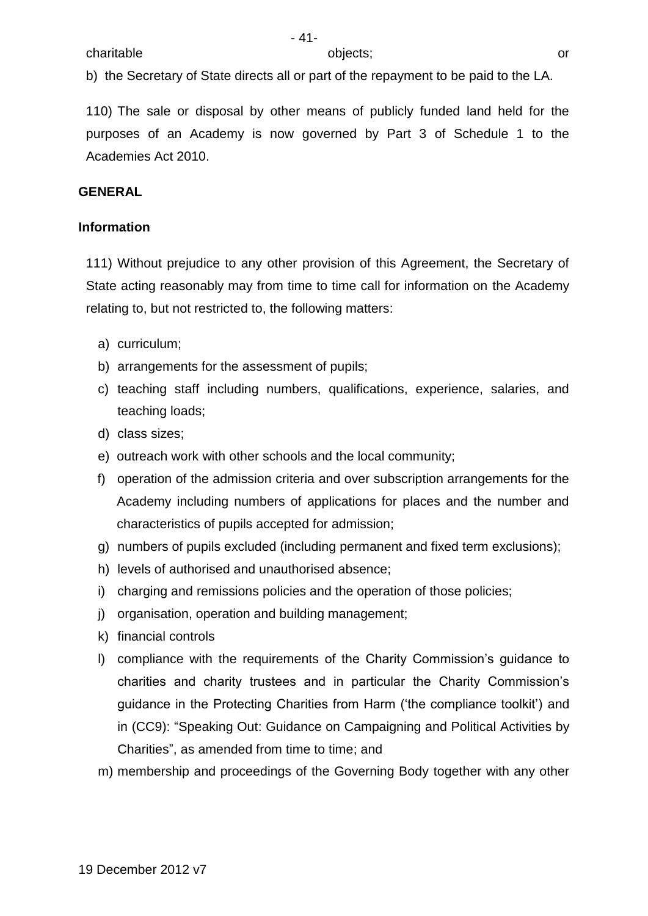b) the Secretary of State directs all or part of the repayment to be paid to the LA.

110) The sale or disposal by other means of publicly funded land held for the purposes of an Academy is now governed by Part 3 of Schedule 1 to the Academies Act 2010.

### **GENERAL**

#### **Information**

111) Without prejudice to any other provision of this Agreement, the Secretary of State acting reasonably may from time to time call for information on the Academy relating to, but not restricted to, the following matters:

- a) curriculum;
- b) arrangements for the assessment of pupils;
- c) teaching staff including numbers, qualifications, experience, salaries, and teaching loads;
- d) class sizes;
- e) outreach work with other schools and the local community;
- f) operation of the admission criteria and over subscription arrangements for the Academy including numbers of applications for places and the number and characteristics of pupils accepted for admission;
- g) numbers of pupils excluded (including permanent and fixed term exclusions);
- h) levels of authorised and unauthorised absence;
- i) charging and remissions policies and the operation of those policies;
- j) organisation, operation and building management;
- k) financial controls
- l) compliance with the requirements of the Charity Commission's guidance to charities and charity trustees and in particular the Charity Commission's guidance in the Protecting Charities from Harm ('the compliance toolkit') and in (CC9): "Speaking Out: Guidance on Campaigning and Political Activities by Charities", as amended from time to time; and
- m) membership and proceedings of the Governing Body together with any other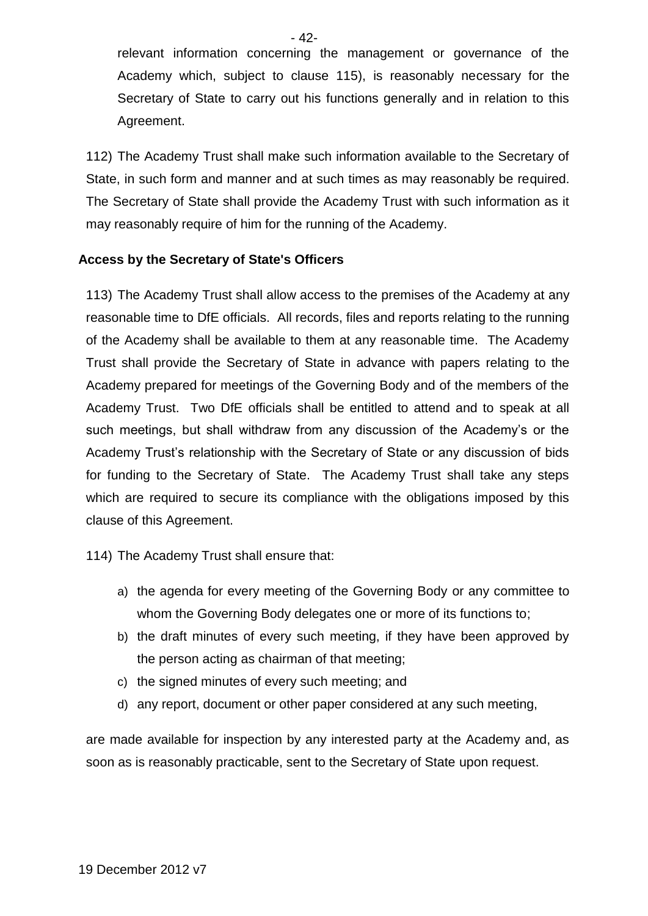relevant information concerning the management or governance of the Academy which, subject to clause 115), is reasonably necessary for the Secretary of State to carry out his functions generally and in relation to this Agreement.

112) The Academy Trust shall make such information available to the Secretary of State, in such form and manner and at such times as may reasonably be required. The Secretary of State shall provide the Academy Trust with such information as it may reasonably require of him for the running of the Academy.

## **Access by the Secretary of State's Officers**

113) The Academy Trust shall allow access to the premises of the Academy at any reasonable time to DfE officials. All records, files and reports relating to the running of the Academy shall be available to them at any reasonable time. The Academy Trust shall provide the Secretary of State in advance with papers relating to the Academy prepared for meetings of the Governing Body and of the members of the Academy Trust. Two DfE officials shall be entitled to attend and to speak at all such meetings, but shall withdraw from any discussion of the Academy's or the Academy Trust's relationship with the Secretary of State or any discussion of bids for funding to the Secretary of State. The Academy Trust shall take any steps which are required to secure its compliance with the obligations imposed by this clause of this Agreement.

114) The Academy Trust shall ensure that:

- a) the agenda for every meeting of the Governing Body or any committee to whom the Governing Body delegates one or more of its functions to;
- b) the draft minutes of every such meeting, if they have been approved by the person acting as chairman of that meeting;
- c) the signed minutes of every such meeting; and
- d) any report, document or other paper considered at any such meeting,

are made available for inspection by any interested party at the Academy and, as soon as is reasonably practicable, sent to the Secretary of State upon request.

- 42-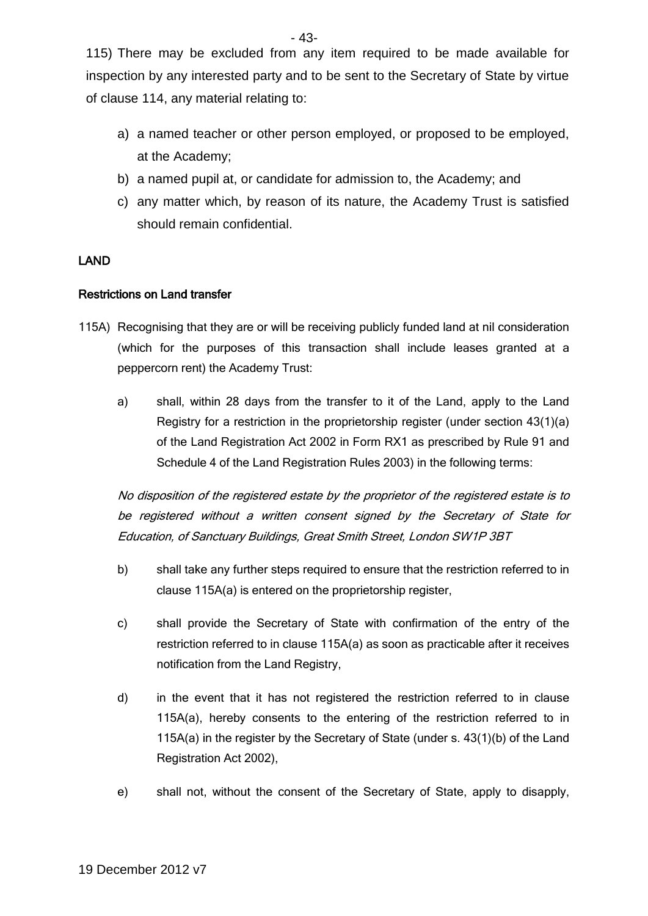115) There may be excluded from any item required to be made available for inspection by any interested party and to be sent to the Secretary of State by virtue of clause 114, any material relating to:

- a) a named teacher or other person employed, or proposed to be employed, at the Academy;
- b) a named pupil at, or candidate for admission to, the Academy; and
- c) any matter which, by reason of its nature, the Academy Trust is satisfied should remain confidential.

### LAND

### Restrictions on Land transfer

- 115A) Recognising that they are or will be receiving publicly funded land at nil consideration (which for the purposes of this transaction shall include leases granted at a peppercorn rent) the Academy Trust:
	- a) shall, within 28 days from the transfer to it of the Land, apply to the Land Registry for a restriction in the proprietorship register (under section 43(1)(a) of the Land Registration Act 2002 in Form RX1 as prescribed by Rule 91 and Schedule 4 of the Land Registration Rules 2003) in the following terms:

No disposition of the registered estate by the proprietor of the registered estate is to be registered without a written consent signed by the Secretary of State for Education, of Sanctuary Buildings, Great Smith Street, London SW1P 3BT

- b) shall take any further steps required to ensure that the restriction referred to in clause 115A(a) is entered on the proprietorship register,
- c) shall provide the Secretary of State with confirmation of the entry of the restriction referred to in clause 115A(a) as soon as practicable after it receives notification from the Land Registry,
- d) in the event that it has not registered the restriction referred to in clause 115A(a), hereby consents to the entering of the restriction referred to in 115A(a) in the register by the Secretary of State (under s. 43(1)(b) of the Land Registration Act 2002),
- e) shall not, without the consent of the Secretary of State, apply to disapply,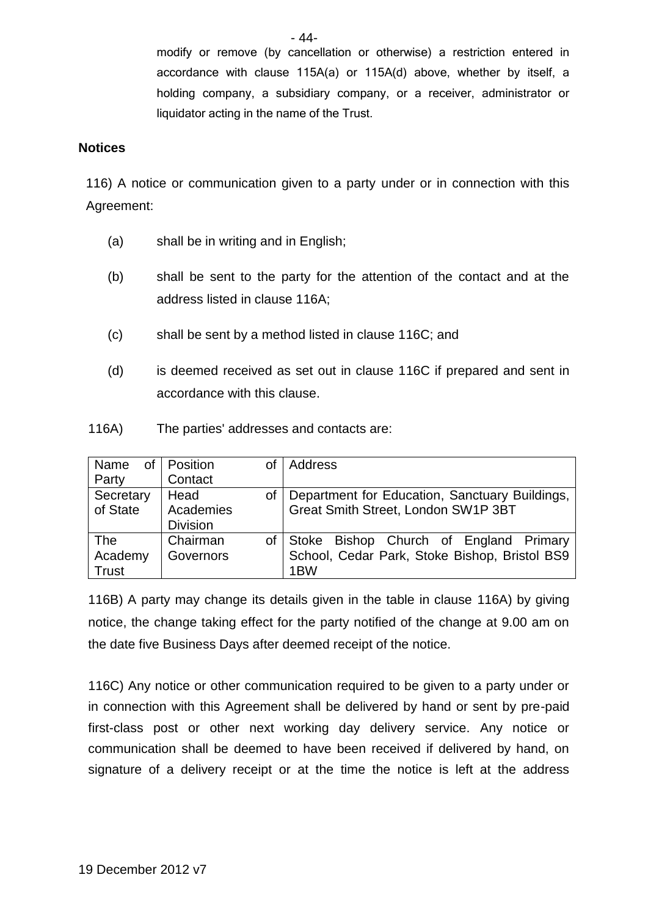modify or remove (by cancellation or otherwise) a restriction entered in accordance with clause 115A(a) or 115A(d) above, whether by itself, a holding company, a subsidiary company, or a receiver, administrator or liquidator acting in the name of the Trust.

#### **Notices**

116) A notice or communication given to a party under or in connection with this Agreement:

- (a) shall be in writing and in English;
- (b) shall be sent to the party for the attention of the contact and at the address listed in clause 116A;
- (c) shall be sent by a method listed in clause 116C; and
- (d) is deemed received as set out in clause 116C if prepared and sent in accordance with this clause.
- 116A) The parties' addresses and contacts are:

| Οf<br>Name   | Position<br>οf   | <b>Address</b>                                 |
|--------------|------------------|------------------------------------------------|
| Party        | Contact          |                                                |
| Secretary    | Head<br>οf       | Department for Education, Sanctuary Buildings, |
| of State     | Academies        | Great Smith Street, London SW1P 3BT            |
|              | <b>Division</b>  |                                                |
| <b>The</b>   | Chairman<br>οf   | Stoke Bishop Church of England Primary         |
| Academy      | <b>Governors</b> | School, Cedar Park, Stoke Bishop, Bristol BS9  |
| <b>Trust</b> |                  | 1 <sub>BW</sub>                                |

116B) A party may change its details given in the table in clause 116A) by giving notice, the change taking effect for the party notified of the change at 9.00 am on the date five Business Days after deemed receipt of the notice.

116C) Any notice or other communication required to be given to a party under or in connection with this Agreement shall be delivered by hand or sent by pre-paid first-class post or other next working day delivery service. Any notice or communication shall be deemed to have been received if delivered by hand, on signature of a delivery receipt or at the time the notice is left at the address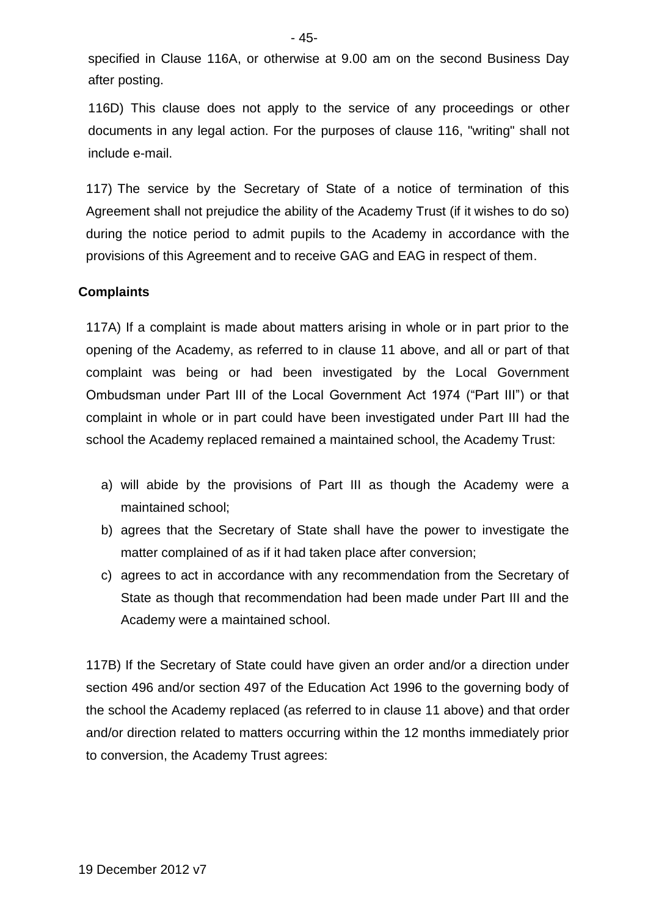specified in Clause 116A, or otherwise at 9.00 am on the second Business Day after posting.

116D) This clause does not apply to the service of any proceedings or other documents in any legal action. For the purposes of clause 116, "writing" shall not include e-mail.

117) The service by the Secretary of State of a notice of termination of this Agreement shall not prejudice the ability of the Academy Trust (if it wishes to do so) during the notice period to admit pupils to the Academy in accordance with the provisions of this Agreement and to receive GAG and EAG in respect of them.

#### **Complaints**

117A) If a complaint is made about matters arising in whole or in part prior to the opening of the Academy, as referred to in clause 11 above, and all or part of that complaint was being or had been investigated by the Local Government Ombudsman under Part III of the Local Government Act 1974 ("Part III") or that complaint in whole or in part could have been investigated under Part III had the school the Academy replaced remained a maintained school, the Academy Trust:

- a) will abide by the provisions of Part III as though the Academy were a maintained school;
- b) agrees that the Secretary of State shall have the power to investigate the matter complained of as if it had taken place after conversion;
- c) agrees to act in accordance with any recommendation from the Secretary of State as though that recommendation had been made under Part III and the Academy were a maintained school.

117B) If the Secretary of State could have given an order and/or a direction under section 496 and/or section 497 of the Education Act 1996 to the governing body of the school the Academy replaced (as referred to in clause 11 above) and that order and/or direction related to matters occurring within the 12 months immediately prior to conversion, the Academy Trust agrees: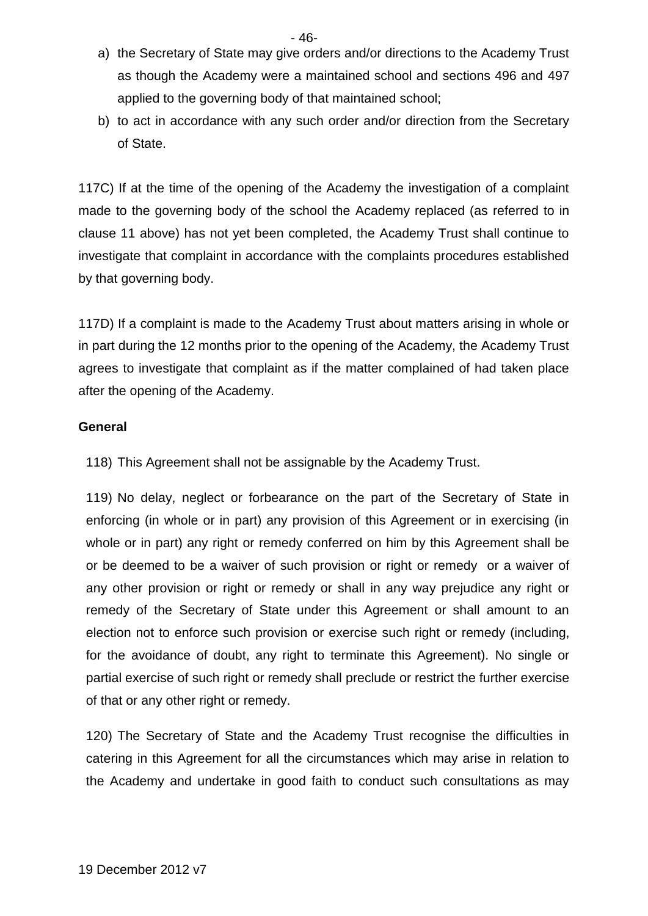- 46-
- a) the Secretary of State may give orders and/or directions to the Academy Trust as though the Academy were a maintained school and sections 496 and 497 applied to the governing body of that maintained school;
- b) to act in accordance with any such order and/or direction from the Secretary of State.

117C) If at the time of the opening of the Academy the investigation of a complaint made to the governing body of the school the Academy replaced (as referred to in clause 11 above) has not yet been completed, the Academy Trust shall continue to investigate that complaint in accordance with the complaints procedures established by that governing body.

117D) If a complaint is made to the Academy Trust about matters arising in whole or in part during the 12 months prior to the opening of the Academy, the Academy Trust agrees to investigate that complaint as if the matter complained of had taken place after the opening of the Academy.

## **General**

118) This Agreement shall not be assignable by the Academy Trust.

119) No delay, neglect or forbearance on the part of the Secretary of State in enforcing (in whole or in part) any provision of this Agreement or in exercising (in whole or in part) any right or remedy conferred on him by this Agreement shall be or be deemed to be a waiver of such provision or right or remedy or a waiver of any other provision or right or remedy or shall in any way prejudice any right or remedy of the Secretary of State under this Agreement or shall amount to an election not to enforce such provision or exercise such right or remedy (including, for the avoidance of doubt, any right to terminate this Agreement). No single or partial exercise of such right or remedy shall preclude or restrict the further exercise of that or any other right or remedy.

120) The Secretary of State and the Academy Trust recognise the difficulties in catering in this Agreement for all the circumstances which may arise in relation to the Academy and undertake in good faith to conduct such consultations as may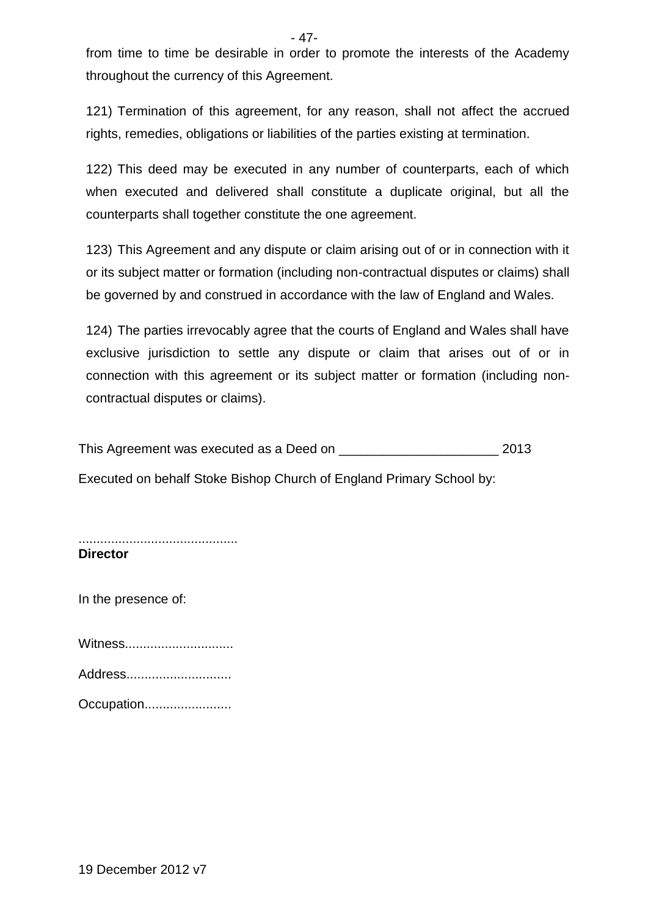from time to time be desirable in order to promote the interests of the Academy throughout the currency of this Agreement.

121) Termination of this agreement, for any reason, shall not affect the accrued rights, remedies, obligations or liabilities of the parties existing at termination.

122) This deed may be executed in any number of counterparts, each of which when executed and delivered shall constitute a duplicate original, but all the counterparts shall together constitute the one agreement.

123) This Agreement and any dispute or claim arising out of or in connection with it or its subject matter or formation (including non-contractual disputes or claims) shall be governed by and construed in accordance with the law of England and Wales.

124) The parties irrevocably agree that the courts of England and Wales shall have exclusive jurisdiction to settle any dispute or claim that arises out of or in connection with this agreement or its subject matter or formation (including noncontractual disputes or claims).

This Agreement was executed as a Deed on \_\_\_\_\_\_\_\_\_\_\_\_\_\_\_\_\_\_\_\_\_\_\_\_\_\_\_\_\_\_\_\_\_ 2013

Executed on behalf Stoke Bishop Church of England Primary School by:

............................................ **Director**

In the presence of:

Witness...............................

Address.............................

Occupation.........................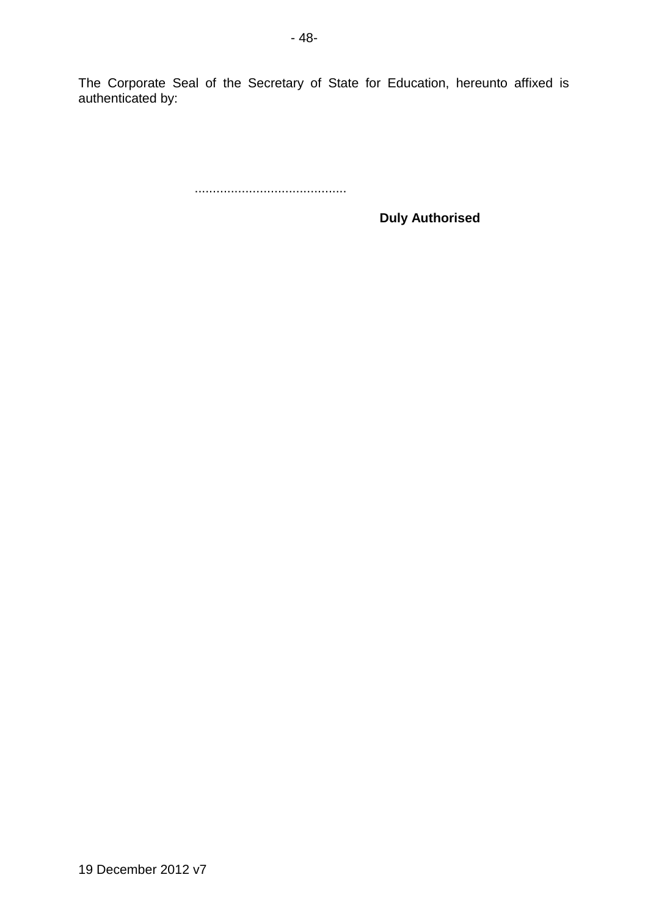The Corporate Seal of the Secretary of State for Education, hereunto affixed is authenticated by:

..........................................

**Duly Authorised**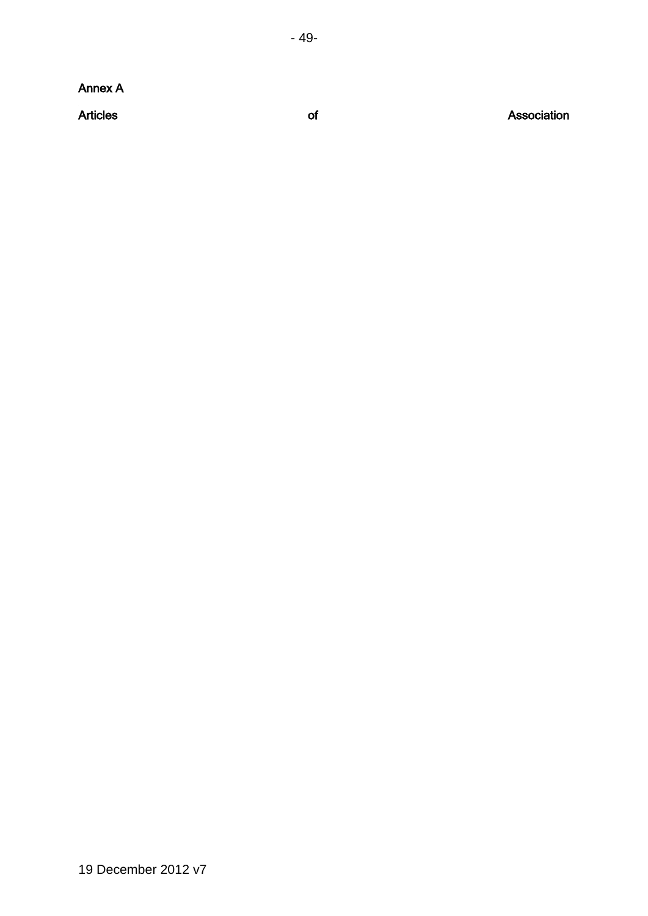Annex A

**Articles** 

of Association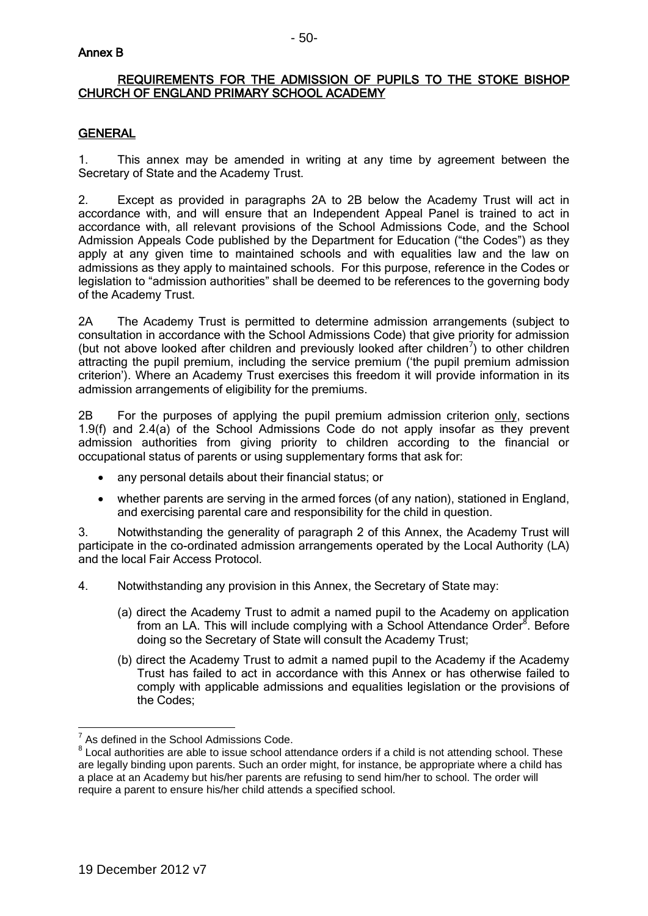#### Annex B

#### REQUIREMENTS FOR THE ADMISSION OF PUPILS TO THE STOKE BISHOP CHURCH OF ENGLAND PRIMARY SCHOOL ACADEMY

### **GENERAL**

1. This annex may be amended in writing at any time by agreement between the Secretary of State and the Academy Trust.

2. Except as provided in paragraphs 2A to 2B below the Academy Trust will act in accordance with, and will ensure that an Independent Appeal Panel is trained to act in accordance with, all relevant provisions of the School Admissions Code, and the School Admission Appeals Code published by the Department for Education ("the Codes") as they apply at any given time to maintained schools and with equalities law and the law on admissions as they apply to maintained schools. For this purpose, reference in the Codes or legislation to "admission authorities" shall be deemed to be references to the governing body of the Academy Trust.

2A The Academy Trust is permitted to determine admission arrangements (subject to consultation in accordance with the School Admissions Code) that give priority for admission (but not above looked after children and previously looked after children<sup>7</sup>) to other children attracting the pupil premium, including the service premium ('the pupil premium admission criterion'). Where an Academy Trust exercises this freedom it will provide information in its admission arrangements of eligibility for the premiums.

2B For the purposes of applying the pupil premium admission criterion only, sections 1.9(f) and 2.4(a) of the School Admissions Code do not apply insofar as they prevent admission authorities from giving priority to children according to the financial or occupational status of parents or using supplementary forms that ask for:

- any personal details about their financial status; or
- whether parents are serving in the armed forces (of any nation), stationed in England, and exercising parental care and responsibility for the child in question.

3. Notwithstanding the generality of paragraph 2 of this Annex, the Academy Trust will participate in the co-ordinated admission arrangements operated by the Local Authority (LA) and the local Fair Access Protocol.

4. Notwithstanding any provision in this Annex, the Secretary of State may:

- (a) direct the Academy Trust to admit a named pupil to the Academy on application from an LA. This will include complying with a School Attendance Order<sup>8</sup>. Before doing so the Secretary of State will consult the Academy Trust;
- (b) direct the Academy Trust to admit a named pupil to the Academy if the Academy Trust has failed to act in accordance with this Annex or has otherwise failed to comply with applicable admissions and equalities legislation or the provisions of the Codes;

 7 As defined in the School Admissions Code.

 $8$  Local authorities are able to issue school attendance orders if a child is not attending school. These are legally binding upon parents. Such an order might, for instance, be appropriate where a child has a place at an Academy but his/her parents are refusing to send him/her to school. The order will require a parent to ensure his/her child attends a specified school.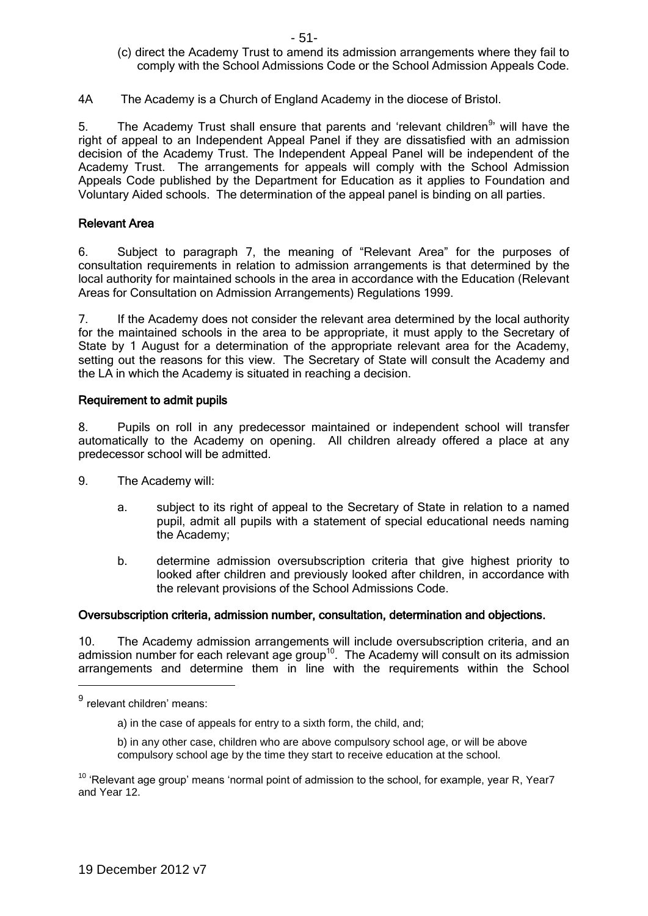- (c) direct the Academy Trust to amend its admission arrangements where they fail to comply with the School Admissions Code or the School Admission Appeals Code.
- 4A The Academy is a Church of England Academy in the diocese of Bristol.

5. The Academy Trust shall ensure that parents and 'relevant children<sup>9</sup>' will have the right of appeal to an Independent Appeal Panel if they are dissatisfied with an admission decision of the Academy Trust. The Independent Appeal Panel will be independent of the Academy Trust. The arrangements for appeals will comply with the School Admission Appeals Code published by the Department for Education as it applies to Foundation and Voluntary Aided schools. The determination of the appeal panel is binding on all parties.

#### Relevant Area

6. Subject to paragraph 7, the meaning of "Relevant Area" for the purposes of consultation requirements in relation to admission arrangements is that determined by the local authority for maintained schools in the area in accordance with the Education (Relevant Areas for Consultation on Admission Arrangements) Regulations 1999.

7. If the Academy does not consider the relevant area determined by the local authority for the maintained schools in the area to be appropriate, it must apply to the Secretary of State by 1 August for a determination of the appropriate relevant area for the Academy, setting out the reasons for this view. The Secretary of State will consult the Academy and the LA in which the Academy is situated in reaching a decision.

#### Requirement to admit pupils

8. Pupils on roll in any predecessor maintained or independent school will transfer automatically to the Academy on opening. All children already offered a place at any predecessor school will be admitted.

- 9. The Academy will:
	- a. subject to its right of appeal to the Secretary of State in relation to a named pupil, admit all pupils with a statement of special educational needs naming the Academy;
	- b. determine admission oversubscription criteria that give highest priority to looked after children and previously looked after children, in accordance with the relevant provisions of the School Admissions Code.

#### Oversubscription criteria, admission number, consultation, determination and objections.

10. The Academy admission arrangements will include oversubscription criteria, and an admission number for each relevant age group<sup>10</sup>. The Academy will consult on its admission arrangements and determine them in line with the requirements within the School

<u>.</u>

<sup>&</sup>lt;sup>9</sup> relevant children' means:

a) in the case of appeals for entry to a sixth form, the child, and;

b) in any other case, children who are above compulsory school age, or will be above compulsory school age by the time they start to receive education at the school.

 $10$  'Relevant age group' means 'normal point of admission to the school, for example, year R, Year7 and Year 12.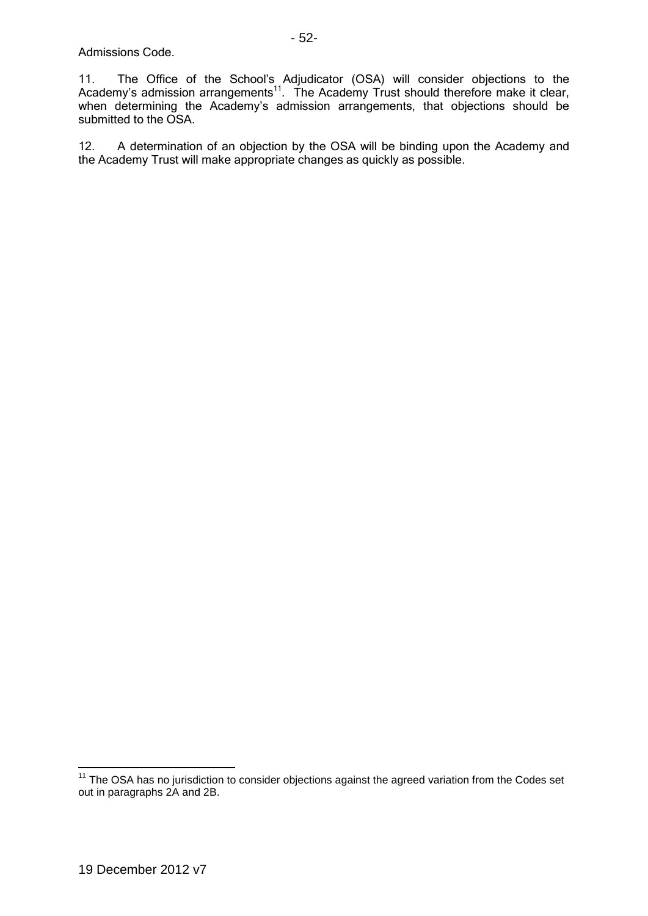11. The Office of the School's Adjudicator (OSA) will consider objections to the Academy's admission arrangements<sup>11</sup>. The Academy Trust should therefore make it clear, when determining the Academy's admission arrangements, that objections should be submitted to the OSA.

12. A determination of an objection by the OSA will be binding upon the Academy and the Academy Trust will make appropriate changes as quickly as possible.

1

 $11$  The OSA has no jurisdiction to consider objections against the agreed variation from the Codes set out in paragraphs 2A and 2B.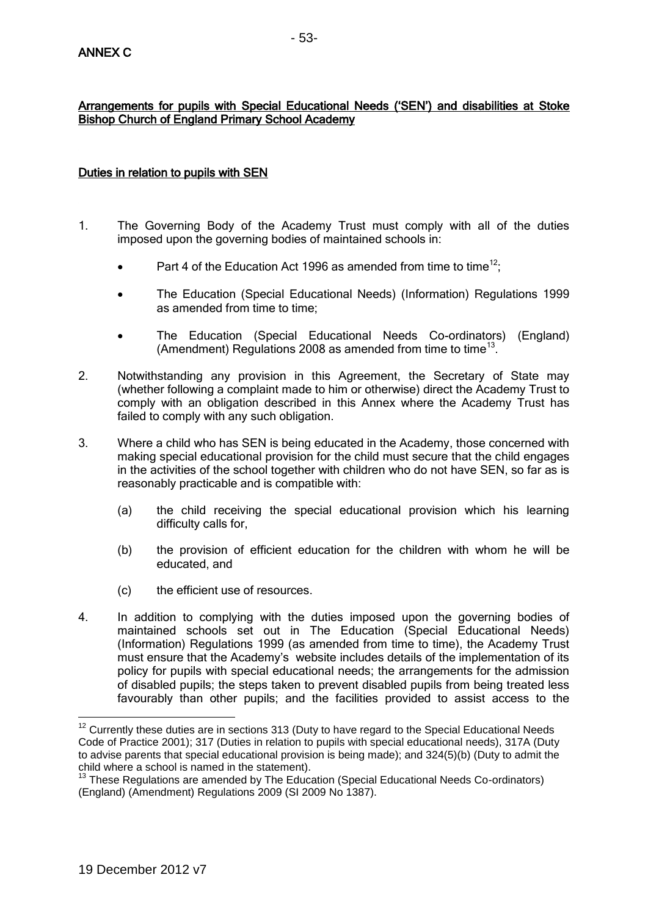# Duties in relation to pupils with SEN

Bishop Church of England Primary School Academy

- 1. The Governing Body of the Academy Trust must comply with all of the duties imposed upon the governing bodies of maintained schools in:
	- Part 4 of the Education Act 1996 as amended from time to time<sup>12</sup>;
	- The Education (Special Educational Needs) (Information) Regulations 1999 as amended from time to time;
	- The Education (Special Educational Needs Co-ordinators) (England) (Amendment) Regulations 2008 as amended from time to time<sup>13</sup>.
- 2. Notwithstanding any provision in this Agreement, the Secretary of State may (whether following a complaint made to him or otherwise) direct the Academy Trust to comply with an obligation described in this Annex where the Academy Trust has failed to comply with any such obligation.
- 3. Where a child who has SEN is being educated in the Academy, those concerned with making special educational provision for the child must secure that the child engages in the activities of the school together with children who do not have SEN, so far as is reasonably practicable and is compatible with:
	- (a) the child receiving the special educational provision which his learning difficulty calls for,
	- (b) the provision of efficient education for the children with whom he will be educated, and
	- (c) the efficient use of resources.
- 4. In addition to complying with the duties imposed upon the governing bodies of maintained schools set out in The Education (Special Educational Needs) (Information) Regulations 1999 (as amended from time to time), the Academy Trust must ensure that the Academy's website includes details of the implementation of its policy for pupils with special educational needs; the arrangements for the admission of disabled pupils; the steps taken to prevent disabled pupils from being treated less favourably than other pupils; and the facilities provided to assist access to the

<sup>1</sup>  $12$  Currently these duties are in sections 313 (Duty to have regard to the Special Educational Needs Code of Practice 2001); 317 (Duties in relation to pupils with special educational needs), 317A (Duty to advise parents that special educational provision is being made); and 324(5)(b) (Duty to admit the child where a school is named in the statement).

 $13$  These Regulations are amended by The Education (Special Educational Needs Co-ordinators) (England) (Amendment) Regulations 2009 (SI 2009 No 1387).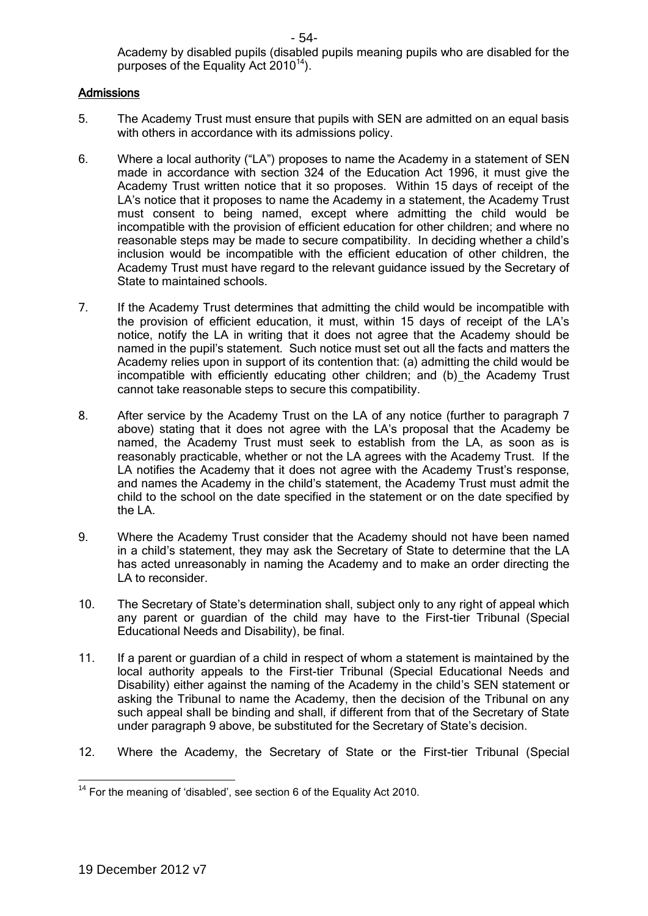Academy by disabled pupils (disabled pupils meaning pupils who are disabled for the purposes of the Equality Act  $2010^{14}$ ).

#### **Admissions**

- 5. The Academy Trust must ensure that pupils with SEN are admitted on an equal basis with others in accordance with its admissions policy.
- 6. Where a local authority ("LA") proposes to name the Academy in a statement of SEN made in accordance with section 324 of the Education Act 1996, it must give the Academy Trust written notice that it so proposes. Within 15 days of receipt of the LA's notice that it proposes to name the Academy in a statement, the Academy Trust must consent to being named, except where admitting the child would be incompatible with the provision of efficient education for other children; and where no reasonable steps may be made to secure compatibility. In deciding whether a child's inclusion would be incompatible with the efficient education of other children, the Academy Trust must have regard to the relevant guidance issued by the Secretary of State to maintained schools.
- 7. If the Academy Trust determines that admitting the child would be incompatible with the provision of efficient education, it must, within 15 days of receipt of the LA's notice, notify the LA in writing that it does not agree that the Academy should be named in the pupil's statement. Such notice must set out all the facts and matters the Academy relies upon in support of its contention that: (a) admitting the child would be incompatible with efficiently educating other children; and (b) the Academy Trust cannot take reasonable steps to secure this compatibility.
- 8. After service by the Academy Trust on the LA of any notice (further to paragraph 7 above) stating that it does not agree with the LA's proposal that the Academy be named, the Academy Trust must seek to establish from the LA, as soon as is reasonably practicable, whether or not the LA agrees with the Academy Trust. If the LA notifies the Academy that it does not agree with the Academy Trust's response, and names the Academy in the child's statement, the Academy Trust must admit the child to the school on the date specified in the statement or on the date specified by the LA.
- 9. Where the Academy Trust consider that the Academy should not have been named in a child's statement, they may ask the Secretary of State to determine that the LA has acted unreasonably in naming the Academy and to make an order directing the LA to reconsider.
- 10. The Secretary of State's determination shall, subject only to any right of appeal which any parent or guardian of the child may have to the First-tier Tribunal (Special Educational Needs and Disability), be final.
- 11. If a parent or guardian of a child in respect of whom a statement is maintained by the local authority appeals to the First-tier Tribunal (Special Educational Needs and Disability) either against the naming of the Academy in the child's SEN statement or asking the Tribunal to name the Academy, then the decision of the Tribunal on any such appeal shall be binding and shall, if different from that of the Secretary of State under paragraph 9 above, be substituted for the Secretary of State's decision.
- 12. Where the Academy, the Secretary of State or the First-tier Tribunal (Special

<sup>1</sup>  $14$  For the meaning of 'disabled', see section 6 of the Equality Act 2010.